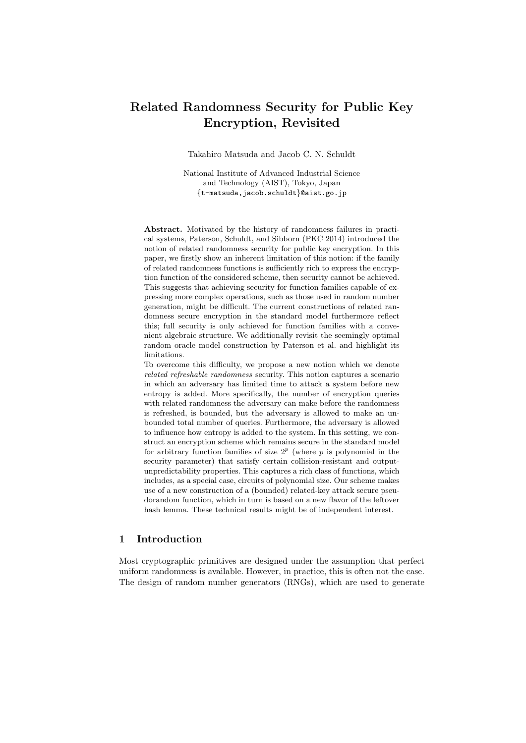# **Related Randomness Security for Public Key Encryption, Revisited**

Takahiro Matsuda and Jacob C. N. Schuldt

National Institute of Advanced Industrial Science and Technology (AIST), Tokyo, Japan *{*t-matsuda,jacob.schuldt*}*@aist.go.jp

**Abstract.** Motivated by the history of randomness failures in practical systems, Paterson, Schuldt, and Sibborn (PKC 2014) introduced the notion of related randomness security for public key encryption. In this paper, we firstly show an inherent limitation of this notion: if the family of related randomness functions is sufficiently rich to express the encryption function of the considered scheme, then security cannot be achieved. This suggests that achieving security for function families capable of expressing more complex operations, such as those used in random number generation, might be difficult. The current constructions of related randomness secure encryption in the standard model furthermore reflect this; full security is only achieved for function families with a convenient algebraic structure. We additionally revisit the seemingly optimal random oracle model construction by Paterson et al. and highlight its limitations.

To overcome this difficulty, we propose a new notion which we denote *related refreshable randomness* security. This notion captures a scenario in which an adversary has limited time to attack a system before new entropy is added. More specifically, the number of encryption queries with related randomness the adversary can make before the randomness is refreshed, is bounded, but the adversary is allowed to make an unbounded total number of queries. Furthermore, the adversary is allowed to influence how entropy is added to the system. In this setting, we construct an encryption scheme which remains secure in the standard model for arbitrary function families of size  $2^p$  (where  $p$  is polynomial in the security parameter) that satisfy certain collision-resistant and outputunpredictability properties. This captures a rich class of functions, which includes, as a special case, circuits of polynomial size. Our scheme makes use of a new construction of a (bounded) related-key attack secure pseudorandom function, which in turn is based on a new flavor of the leftover hash lemma. These technical results might be of independent interest.

### **1 Introduction**

Most cryptographic primitives are designed under the assumption that perfect uniform randomness is available. However, in practice, this is often not the case. The design of random number generators (RNGs), which are used to generate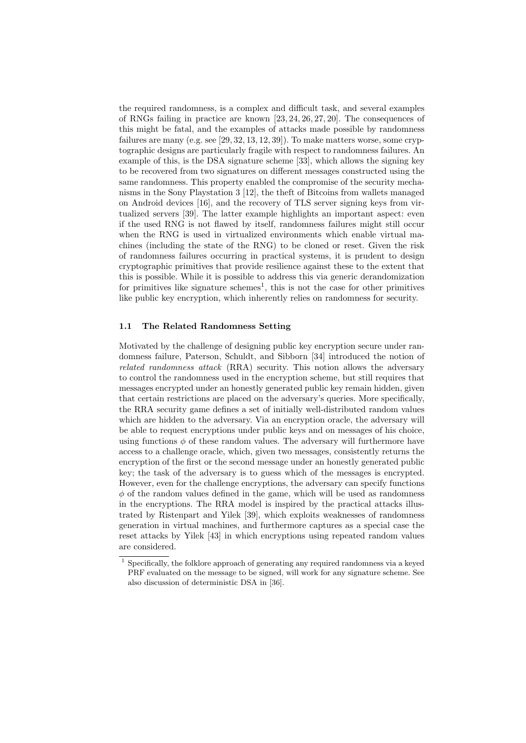the required randomness, is a complex and difficult task, and several examples of RNGs failing in practice are known [23, 24, 26, 27, 20]. The consequences of this might be fatal, and the examples of attacks made possible by randomness failures are many (e.g. see [29, 32, 13, 12, 39]). To make matters worse, some cryptographic designs are particularly fragile with respect to randomness failures. An example of this, is the DSA signature scheme [33], which allows the signing key to be recovered from two signatures on different messages constructed using the same randomness. This property enabled the compromise of the security mechanisms in the Sony Playstation 3 [12], the theft of Bitcoins from wallets managed on Android devices [16], and the recovery of TLS server signing keys from virtualized servers [39]. The latter example highlights an important aspect: even if the used RNG is not flawed by itself, randomness failures might still occur when the RNG is used in virtualized environments which enable virtual machines (including the state of the RNG) to be cloned or reset. Given the risk of randomness failures occurring in practical systems, it is prudent to design cryptographic primitives that provide resilience against these to the extent that this is possible. While it is possible to address this via generic derandomization for primitives like signature schemes<sup>1</sup>, this is not the case for other primitives like public key encryption, which inherently relies on randomness for security.

### **1.1 The Related Randomness Setting**

Motivated by the challenge of designing public key encryption secure under randomness failure, Paterson, Schuldt, and Sibborn [34] introduced the notion of *related randomness attack* (RRA) security. This notion allows the adversary to control the randomness used in the encryption scheme, but still requires that messages encrypted under an honestly generated public key remain hidden, given that certain restrictions are placed on the adversary's queries. More specifically, the RRA security game defines a set of initially well-distributed random values which are hidden to the adversary. Via an encryption oracle, the adversary will be able to request encryptions under public keys and on messages of his choice, using functions  $\phi$  of these random values. The adversary will furthermore have access to a challenge oracle, which, given two messages, consistently returns the encryption of the first or the second message under an honestly generated public key; the task of the adversary is to guess which of the messages is encrypted. However, even for the challenge encryptions, the adversary can specify functions *ϕ* of the random values defined in the game, which will be used as randomness in the encryptions. The RRA model is inspired by the practical attacks illustrated by Ristenpart and Yilek [39], which exploits weaknesses of randomness generation in virtual machines, and furthermore captures as a special case the reset attacks by Yilek [43] in which encryptions using repeated random values are considered.

 $^{\rm 1}$  Specifically, the folklore approach of generating any required randomness via a keyed PRF evaluated on the message to be signed, will work for any signature scheme. See also discussion of deterministic DSA in [36].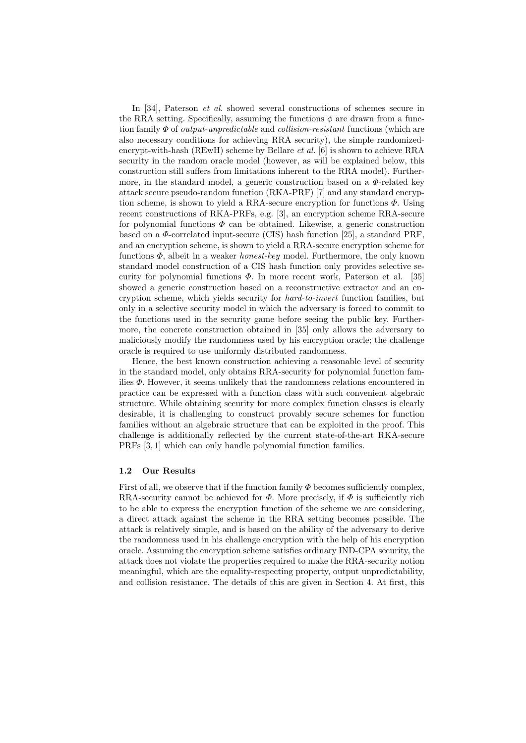In [34], Paterson *et al.* showed several constructions of schemes secure in the RRA setting. Specifically, assuming the functions  $\phi$  are drawn from a function family *Φ* of *output-unpredictable* and *collision-resistant* functions (which are also necessary conditions for achieving RRA security), the simple randomizedencrypt-with-hash (REwH) scheme by Bellare *et al.* [6] is shown to achieve RRA security in the random oracle model (however, as will be explained below, this construction still suffers from limitations inherent to the RRA model). Furthermore, in the standard model, a generic construction based on a *Φ*-related key attack secure pseudo-random function (RKA-PRF) [7] and any standard encryption scheme, is shown to yield a RRA-secure encryption for functions *Φ*. Using recent constructions of RKA-PRFs, e.g. [3], an encryption scheme RRA-secure for polynomial functions *Φ* can be obtained. Likewise, a generic construction based on a *Φ*-correlated input-secure (CIS) hash function [25], a standard PRF, and an encryption scheme, is shown to yield a RRA-secure encryption scheme for functions *Φ*, albeit in a weaker *honest-key* model. Furthermore, the only known standard model construction of a CIS hash function only provides selective security for polynomial functions *Φ*. In more recent work, Paterson et al. [35] showed a generic construction based on a reconstructive extractor and an encryption scheme, which yields security for *hard-to-invert* function families, but only in a selective security model in which the adversary is forced to commit to the functions used in the security game before seeing the public key. Furthermore, the concrete construction obtained in [35] only allows the adversary to maliciously modify the randomness used by his encryption oracle; the challenge oracle is required to use uniformly distributed randomness.

Hence, the best known construction achieving a reasonable level of security in the standard model, only obtains RRA-security for polynomial function families *Φ*. However, it seems unlikely that the randomness relations encountered in practice can be expressed with a function class with such convenient algebraic structure. While obtaining security for more complex function classes is clearly desirable, it is challenging to construct provably secure schemes for function families without an algebraic structure that can be exploited in the proof. This challenge is additionally reflected by the current state-of-the-art RKA-secure PRFs [3, 1] which can only handle polynomial function families.

### **1.2 Our Results**

First of all, we observe that if the function family *Φ* becomes sufficiently complex, RRA-security cannot be achieved for *Φ*. More precisely, if *Φ* is sufficiently rich to be able to express the encryption function of the scheme we are considering, a direct attack against the scheme in the RRA setting becomes possible. The attack is relatively simple, and is based on the ability of the adversary to derive the randomness used in his challenge encryption with the help of his encryption oracle. Assuming the encryption scheme satisfies ordinary IND-CPA security, the attack does not violate the properties required to make the RRA-security notion meaningful, which are the equality-respecting property, output unpredictability, and collision resistance. The details of this are given in Section 4. At first, this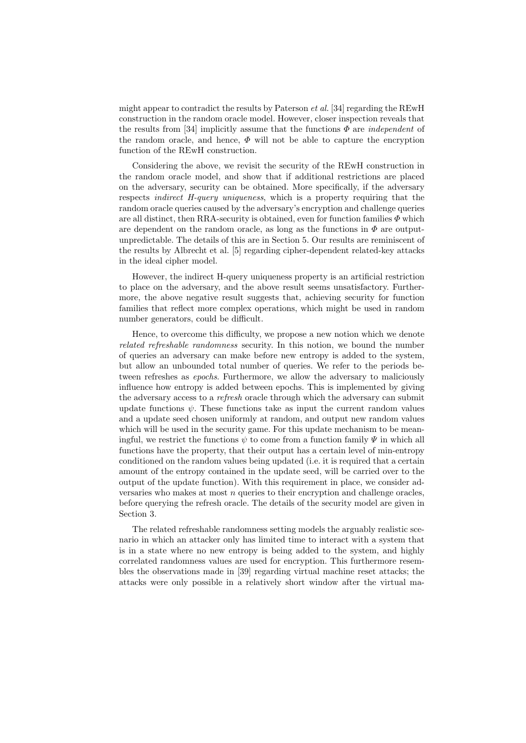might appear to contradict the results by Paterson *et al.* [34] regarding the REwH construction in the random oracle model. However, closer inspection reveals that the results from [34] implicitly assume that the functions *Φ* are *independent* of the random oracle, and hence,  $\Phi$  will not be able to capture the encryption function of the REwH construction.

Considering the above, we revisit the security of the REwH construction in the random oracle model, and show that if additional restrictions are placed on the adversary, security can be obtained. More specifically, if the adversary respects *indirect H-query uniqueness*, which is a property requiring that the random oracle queries caused by the adversary's encryption and challenge queries are all distinct, then RRA-security is obtained, even for function families *Φ* which are dependent on the random oracle, as long as the functions in  $\Phi$  are outputunpredictable. The details of this are in Section 5. Our results are reminiscent of the results by Albrecht et al. [5] regarding cipher-dependent related-key attacks in the ideal cipher model.

However, the indirect H-query uniqueness property is an artificial restriction to place on the adversary, and the above result seems unsatisfactory. Furthermore, the above negative result suggests that, achieving security for function families that reflect more complex operations, which might be used in random number generators, could be difficult.

Hence, to overcome this difficulty, we propose a new notion which we denote *related refreshable randomness* security. In this notion, we bound the number of queries an adversary can make before new entropy is added to the system, but allow an unbounded total number of queries. We refer to the periods between refreshes as *epochs*. Furthermore, we allow the adversary to maliciously influence how entropy is added between epochs. This is implemented by giving the adversary access to a *refresh* oracle through which the adversary can submit update functions  $\psi$ . These functions take as input the current random values and a update seed chosen uniformly at random, and output new random values which will be used in the security game. For this update mechanism to be meaningful, we restrict the functions  $\psi$  to come from a function family  $\Psi$  in which all functions have the property, that their output has a certain level of min-entropy conditioned on the random values being updated (i.e. it is required that a certain amount of the entropy contained in the update seed, will be carried over to the output of the update function). With this requirement in place, we consider adversaries who makes at most *n* queries to their encryption and challenge oracles, before querying the refresh oracle. The details of the security model are given in Section 3.

The related refreshable randomness setting models the arguably realistic scenario in which an attacker only has limited time to interact with a system that is in a state where no new entropy is being added to the system, and highly correlated randomness values are used for encryption. This furthermore resembles the observations made in [39] regarding virtual machine reset attacks; the attacks were only possible in a relatively short window after the virtual ma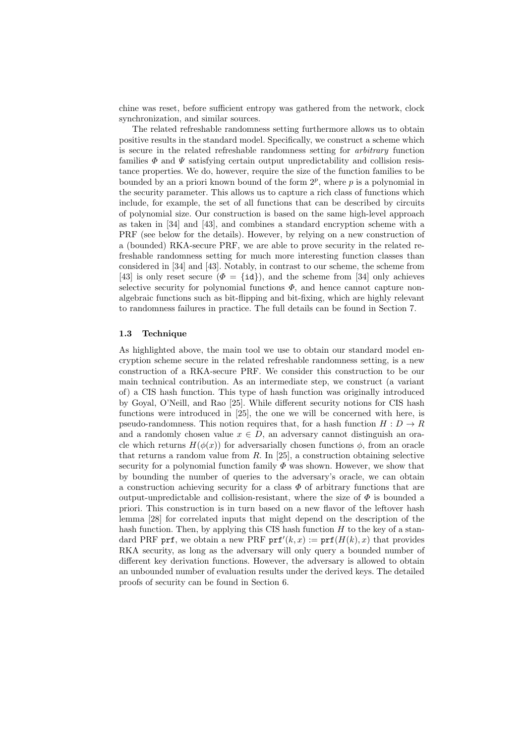chine was reset, before sufficient entropy was gathered from the network, clock synchronization, and similar sources.

The related refreshable randomness setting furthermore allows us to obtain positive results in the standard model. Specifically, we construct a scheme which is secure in the related refreshable randomness setting for *arbitrary* function families  $\Phi$  and  $\Psi$  satisfying certain output unpredictability and collision resistance properties. We do, however, require the size of the function families to be bounded by an a priori known bound of the form 2*<sup>p</sup>* , where *p* is a polynomial in the security parameter. This allows us to capture a rich class of functions which include, for example, the set of all functions that can be described by circuits of polynomial size. Our construction is based on the same high-level approach as taken in [34] and [43], and combines a standard encryption scheme with a PRF (see below for the details). However, by relying on a new construction of a (bounded) RKA-secure PRF, we are able to prove security in the related refreshable randomness setting for much more interesting function classes than considered in [34] and [43]. Notably, in contrast to our scheme, the scheme from [43] is only reset secure ( $\Phi = {\text{id}}$ ), and the scheme from [34] only achieves selective security for polynomial functions  $\Phi$ , and hence cannot capture nonalgebraic functions such as bit-flipping and bit-fixing, which are highly relevant to randomness failures in practice. The full details can be found in Section 7.

### **1.3 Technique**

As highlighted above, the main tool we use to obtain our standard model encryption scheme secure in the related refreshable randomness setting, is a new construction of a RKA-secure PRF. We consider this construction to be our main technical contribution. As an intermediate step, we construct (a variant of) a CIS hash function. This type of hash function was originally introduced by Goyal, O'Neill, and Rao [25]. While different security notions for CIS hash functions were introduced in [25], the one we will be concerned with here, is pseudo-randomness. This notion requires that, for a hash function  $H: D \to R$ and a randomly chosen value  $x \in D$ , an adversary cannot distinguish an oracle which returns  $H(\phi(x))$  for adversarially chosen functions  $\phi$ , from an oracle that returns a random value from *R*. In [25], a construction obtaining selective security for a polynomial function family  $\Phi$  was shown. However, we show that by bounding the number of queries to the adversary's oracle, we can obtain a construction achieving security for a class  $\Phi$  of arbitrary functions that are output-unpredictable and collision-resistant, where the size of  $\Phi$  is bounded a priori. This construction is in turn based on a new flavor of the leftover hash lemma [28] for correlated inputs that might depend on the description of the hash function. Then, by applying this CIS hash function *H* to the key of a standard PRF prf, we obtain a new PRF  $\text{prf}'(k, x) := \text{prf}(H(k), x)$  that provides RKA security, as long as the adversary will only query a bounded number of different key derivation functions. However, the adversary is allowed to obtain an unbounded number of evaluation results under the derived keys. The detailed proofs of security can be found in Section 6.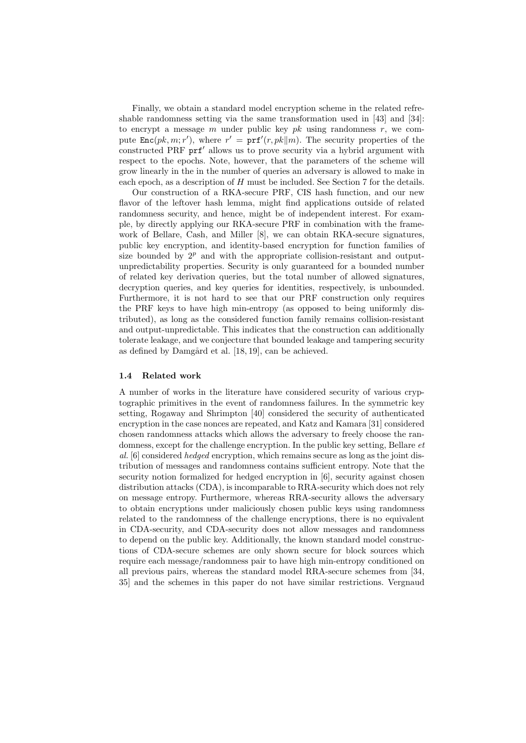Finally, we obtain a standard model encryption scheme in the related refreshable randomness setting via the same transformation used in [43] and [34]: to encrypt a message  $m$  under public key  $pk$  using randomness  $r$ , we compute  $\text{Enc}(pk, m; r')$ , where  $r' = \text{prf}'(r, pk||m)$ . The security properties of the constructed PRF prf*′* allows us to prove security via a hybrid argument with respect to the epochs. Note, however, that the parameters of the scheme will grow linearly in the in the number of queries an adversary is allowed to make in each epoch, as a description of *H* must be included. See Section 7 for the details.

Our construction of a RKA-secure PRF, CIS hash function, and our new flavor of the leftover hash lemma, might find applications outside of related randomness security, and hence, might be of independent interest. For example, by directly applying our RKA-secure PRF in combination with the framework of Bellare, Cash, and Miller [8], we can obtain RKA-secure signatures, public key encryption, and identity-based encryption for function families of size bounded by  $2^p$  and with the appropriate collision-resistant and outputunpredictability properties. Security is only guaranteed for a bounded number of related key derivation queries, but the total number of allowed signatures, decryption queries, and key queries for identities, respectively, is unbounded. Furthermore, it is not hard to see that our PRF construction only requires the PRF keys to have high min-entropy (as opposed to being uniformly distributed), as long as the considered function family remains collision-resistant and output-unpredictable. This indicates that the construction can additionally tolerate leakage, and we conjecture that bounded leakage and tampering security as defined by Damgård et al.  $[18, 19]$ , can be achieved.

### **1.4 Related work**

A number of works in the literature have considered security of various cryptographic primitives in the event of randomness failures. In the symmetric key setting, Rogaway and Shrimpton [40] considered the security of authenticated encryption in the case nonces are repeated, and Katz and Kamara [31] considered chosen randomness attacks which allows the adversary to freely choose the randomness, except for the challenge encryption. In the public key setting, Bellare *et al.* [6] considered *hedged* encryption, which remains secure as long as the joint distribution of messages and randomness contains sufficient entropy. Note that the security notion formalized for hedged encryption in [6], security against chosen distribution attacks (CDA), is incomparable to RRA-security which does not rely on message entropy. Furthermore, whereas RRA-security allows the adversary to obtain encryptions under maliciously chosen public keys using randomness related to the randomness of the challenge encryptions, there is no equivalent in CDA-security, and CDA-security does not allow messages and randomness to depend on the public key. Additionally, the known standard model constructions of CDA-secure schemes are only shown secure for block sources which require each message/randomness pair to have high min-entropy conditioned on all previous pairs, whereas the standard model RRA-secure schemes from [34, 35] and the schemes in this paper do not have similar restrictions. Vergnaud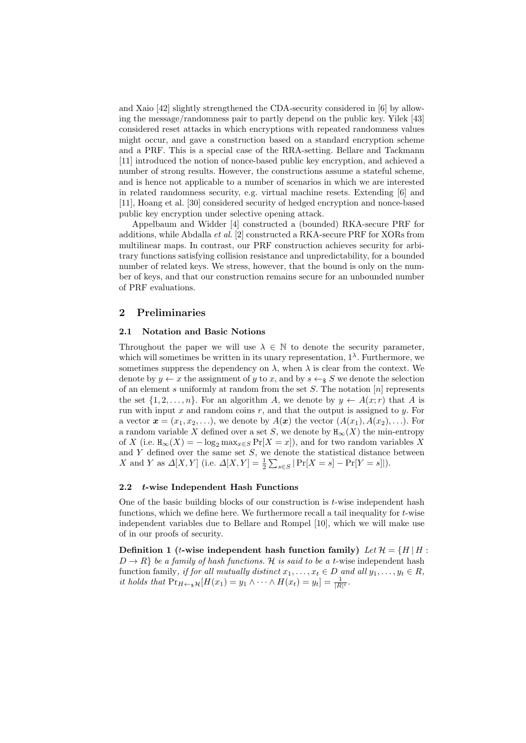and Xaio [42] slightly strengthened the CDA-security considered in [6] by allowing the message/randomness pair to partly depend on the public key. Yilek [43] considered reset attacks in which encryptions with repeated randomness values might occur, and gave a construction based on a standard encryption scheme and a PRF. This is a special case of the RRA-setting. Bellare and Tackmann [11] introduced the notion of nonce-based public key encryption, and achieved a number of strong results. However, the constructions assume a stateful scheme, and is hence not applicable to a number of scenarios in which we are interested in related randomness security, e.g. virtual machine resets. Extending [6] and [11], Hoang et al. [30] considered security of hedged encryption and nonce-based public key encryption under selective opening attack.

Appelbaum and Widder [4] constructed a (bounded) RKA-secure PRF for additions, while Abdalla *et al.* [2] constructed a RKA-secure PRF for XORs from multilinear maps. In contrast, our PRF construction achieves security for arbitrary functions satisfying collision resistance and unpredictability, for a bounded number of related keys. We stress, however, that the bound is only on the number of keys, and that our construction remains secure for an unbounded number of PRF evaluations.

### **2 Preliminaries**

### **2.1 Notation and Basic Notions**

Throughout the paper we will use  $\lambda \in \mathbb{N}$  to denote the security parameter, which will sometimes be written in its unary representation,  $1^{\lambda}$ . Furthermore, we sometimes suppress the dependency on  $\lambda$ , when  $\lambda$  is clear from the context. We denote by  $y \leftarrow x$  the assignment of *y* to *x*, and by  $s \leftarrow s S$  we denote the selection of an element *s* uniformly at random from the set *S*. The notation [*n*] represents the set  $\{1, 2, \ldots, n\}$ . For an algorithm *A*, we denote by  $y \leftarrow A(x; r)$  that *A* is run with input *x* and random coins *r*, and that the output is assigned to *y*. For a vector  $\mathbf{x} = (x_1, x_2, \ldots)$ , we denote by  $A(\mathbf{x})$  the vector  $(A(x_1), A(x_2), \ldots)$ . For a random variable *X* defined over a set *S*, we denote by  $\mathbf{H}_{\infty}(X)$  the min-entropy of *X* (i.e.  $\mathbf{H}_{\infty}(X) = -\log_2 \max_{x \in S} \Pr[X = x]$ ), and for two random variables *X* and *Y* defined over the same set *S*, we denote the statistical distance between *X* and *Y* as  $\Delta[X, Y]$  (i.e.  $\Delta[X, Y] = \frac{1}{2} \sum_{s \in S} |Pr[X = s] - Pr[Y = s]|$ ).

### **2.2** *t***-wise Independent Hash Functions**

One of the basic building blocks of our construction is *t*-wise independent hash functions, which we define here. We furthermore recall a tail inequality for *t*-wise independent variables due to Bellare and Rompel [10], which we will make use of in our proofs of security.

**Definition 1** (*t*-wise independent hash function family) Let  $\mathcal{H} = \{H \mid H:$  $D \rightarrow R$ *} be a family of hash functions. H is said to be a t*-wise independent hash function family, if for all mutually distinct  $x_1, \ldots, x_t \in D$  and all  $y_1, \ldots, y_t \in R$ , *it holds that*  $Pr_{H \leftarrow \emptyset}$  *H*[ $H(x_1) = y_1 \land \cdots \land$   $H(x_t) = y_t$ ] =  $\frac{1}{|R|^t}$ .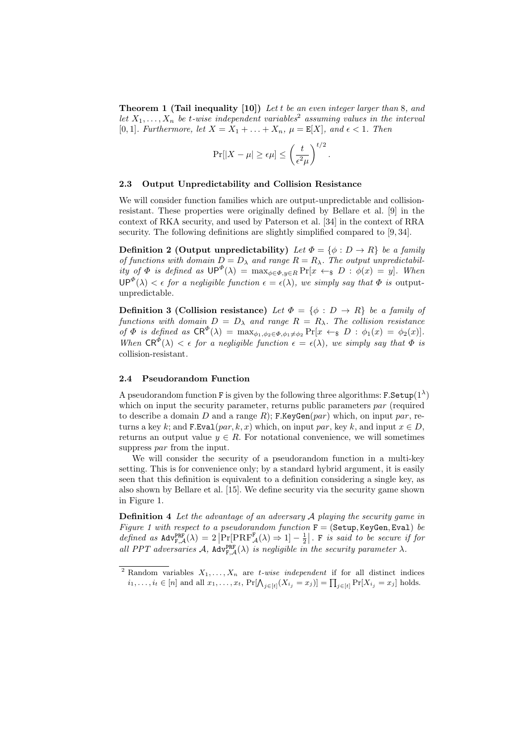**Theorem 1 (Tail inequality [10])** *Let t be an even integer larger than* 8*, and* let  $X_1, \ldots, X_n$  be *t*-wise independent variables<sup>2</sup> assuming values in the interval [0,1]. Furthermore, let  $X = X_1 + \ldots + X_n$ ,  $\mu = \mathbb{E}[X]$ , and  $\epsilon < 1$ . Then

$$
\Pr[|X - \mu| \ge \epsilon \mu] \le \left(\frac{t}{\epsilon^2 \mu}\right)^{t/2}
$$

*.*

#### **2.3 Output Unpredictability and Collision Resistance**

We will consider function families which are output-unpredictable and collisionresistant. These properties were originally defined by Bellare et al. [9] in the context of RKA security, and used by Paterson et al. [34] in the context of RRA security. The following definitions are slightly simplified compared to [9, 34].

**Definition 2 (Output unpredictability)** Let  $\Phi = \{\phi : D \to R\}$  be a family *of functions with domain*  $D = D_{\lambda}$  *and range*  $R = R_{\lambda}$ *. The output unpredictability* of  $\Phi$  *is defined as*  $\mathsf{UP}^{\Phi}(\lambda) = \max_{\phi \in \Phi, y \in R} \Pr[x \leftarrow s]$  *D* :  $\phi(x) = y$ . When UP<sup> $\Phi$ </sup>( $\lambda$ ) <  $\epsilon$  *for a negligible function*  $\epsilon = \epsilon(\lambda)$ *, we simply say that*  $\Phi$  *is* outputunpredictable*.*

**Definition 3 (Collision resistance)** *Let*  $\Phi = {\phi : D \rightarrow R}$  *be a family of functions with domain*  $D = D_{\lambda}$  *and range*  $R = R_{\lambda}$ *. The collision resistance*  $\phi f \Phi$  *is defined as*  $CR^{\Phi}(\lambda) = \max_{\phi_1, \phi_2 \in \Phi, \phi_1 \neq \phi_2} \Pr[x \leftarrow_{\$} D : \phi_1(x) = \phi_2(x)].$ *When*  $CR^{\Phi}(\lambda) < \epsilon$  *for a negligible function*  $\epsilon = \epsilon(\lambda)$ *, we simply say that*  $\Phi$  *is* collision-resistant*.*

### **2.4 Pseudorandom Function**

A pseudorandom function F is given by the following three algorithms:  $F.Setup(1^{\lambda})$ which on input the security parameter, returns public parameters *par* (required to describe a domain *D* and a range *R*); F*.*KeyGen(*par*) which, on input *par*, returns a key *k*; and **F**.Eval( $par, k, x$ ) which, on input  $par$ , key *k*, and input  $x \in D$ , returns an output value  $y \in R$ . For notational convenience, we will sometimes suppress *par* from the input.

We will consider the security of a pseudorandom function in a multi-key setting. This is for convenience only; by a standard hybrid argument, it is easily seen that this definition is equivalent to a definition considering a single key, as also shown by Bellare et al. [15]. We define security via the security game shown in Figure 1.

**Definition 4** *Let the advantage of an adversary A playing the security game in Figure 1 with respect to a pseudorandom function*  $F = (Setup, KeyGen,Eval)$  *be*  $defined \text{ as } \text{Adv}_{F,\mathcal{A}}^{\text{PRF}}(\lambda) = 2 \left| \Pr[\text{PRF}_{\mathcal{A}}^{\text{F}}(\lambda) \Rightarrow 1] - \frac{1}{2} \right|$ . F *is said to be secure if for all PPT adversaries*  $A$ *,*  $Adv_{F,A}^{PRF}(\lambda)$  *is negligible in the security parameter*  $\lambda$ *.* 

<sup>&</sup>lt;sup>2</sup> Random variables  $X_1, \ldots, X_n$  are *t-wise independent* if for all distinct indices  $i_1, \ldots, i_t \in [n]$  and all  $x_1, \ldots, x_t$ ,  $\Pr[\bigwedge_{j \in [t]} (X_{i_j} = x_j)] = \prod_{j \in [t]} \Pr[X_{i_j} = x_j]$  holds.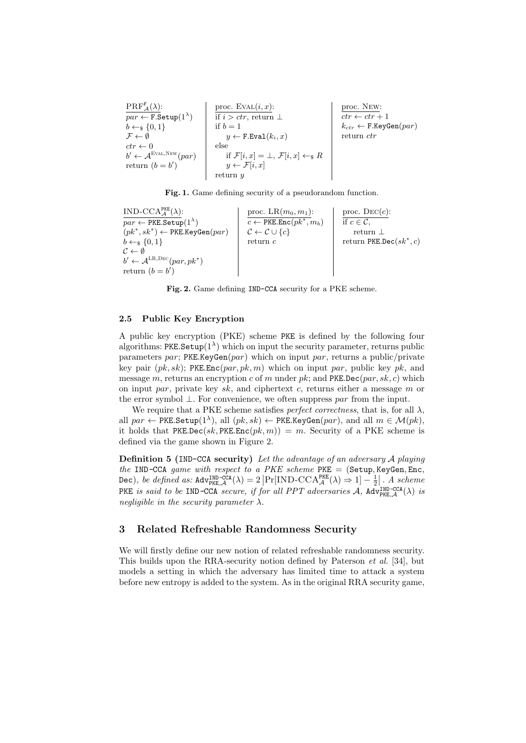$\mathrm{PRF}^{\mathrm{F}}_{\mathcal{A}}(\lambda)$ :  $\overline{par} \leftarrow$  F.Setup $(1^{\lambda})$  $b \leftarrow s \{0, 1\}$ *F ← ∅*  $ctr \leftarrow 0$  $b' \leftarrow A^{\text{EVAL},\text{New}}(par)$ return  $(b = b')$ proc. EVAL $(i, x)$ : if *i > ctr*, return *⊥* if  $b=1$ *y ←* F*.*Eval(*ki, x*) else if  $\mathcal{F}[i, x] = \perp, \mathcal{F}[i, x] \leftarrow_{\$} R$  $y \leftarrow \mathcal{F}[i,x]$ return *y* proc. New:  $\overline{ctr \leftarrow }$  *ctr* + 1  $k_{ctr} \leftarrow$  **F**.KeyGen(*par*) return *ctr*

**Fig. 1.** Game defining security of a pseudorandom function.

 $\underline{\text{IND-CCA}}^\text{PKE}_{\mathcal{A}}(\lambda)$ :  $\overline{par} \leftarrow$  PKE.Setup $(1^{\lambda})$ (*pk<sup>∗</sup> , sk<sup>∗</sup>* ) *←* PKE*.*KeyGen(*par*) *b ←*\$ *{*0*,* 1*} C ← ∅*  $b' \leftarrow A^{\text{LR, Dec}}(par, pk^*)$ return  $(b = b')$ proc.  $LR(m_0, m_1)$ :  $c$  ← PKE.Enc $(pk^*, m_b)$ *C ← C ∪ {c}* return *c* proc.  $DEC(c)$ : if  $c \in \mathcal{C}$ , return *⊥* return PKE*.*Dec(*sk<sup>∗</sup> , c*)

**Fig. 2.** Game defining IND-CCA security for a PKE scheme.

### **2.5 Public Key Encryption**

A public key encryption (PKE) scheme PKE is defined by the following four algorithms:  $PKE.Setup(1<sup>\lambda</sup>)$  which on input the security parameter, returns public parameters *par*; PKE*.*KeyGen(*par*) which on input *par*, returns a public/private key pair (*pk, sk*); PKE*.*Enc(*par, pk, m*) which on input *par*, public key *pk*, and message *m*, returns an encryption *c* of *m* under *pk*; and PKE*.*Dec(*par, sk, c*) which on input *par*, private key *sk*, and ciphertext *c*, returns either a message *m* or the error symbol *⊥*. For convenience, we often suppress *par* from the input.

We require that a PKE scheme satisfies *perfect correctness*, that is, for all  $\lambda$ , all *par* ← PKE.Setup(1<sup> $λ$ </sup>), all (*pk, sk*) ← PKE.KeyGen(*par*), and all  $m ∈ M(pk)$ , it holds that  $PKE\text{.Dec}(sk, PKE\text{.Enc}(pk, m)) = m$ . Security of a PKE scheme is defined via the game shown in Figure 2.

**Definition 5 (**IND-CCA **security)** *Let the advantage of an adversary A playing the* IND*-*CCA *game with respect to a PKE scheme* PKE = (Setup*,* KeyGen*,* Enc*,*  $\text{Dec}), \text{ be defined as:} \text{Adv}_{\text{PRE},\mathcal{A}}^{\text{IND-CCA}}(\lambda) = 2 \left| \Pr[\text{IND-CCA}_\mathcal{A}^{\text{PKE}}(\lambda) \Rightarrow 1] - \frac{1}{2} \right|. \text{ A scheme}$ PKE *is said to be* IND-CCA *secure, if for all PPT adversaries*  $A$ *,*  $\text{Adv}_{\text{PKE},A}^{\text{IND-CCA}}(\lambda)$  *is negligible in the security parameter*  $\lambda$ *.* 

### **3 Related Refreshable Randomness Security**

We will firstly define our new notion of related refreshable randomness security. This builds upon the RRA-security notion defined by Paterson *et al.* [34], but models a setting in which the adversary has limited time to attack a system before new entropy is added to the system. As in the original RRA security game,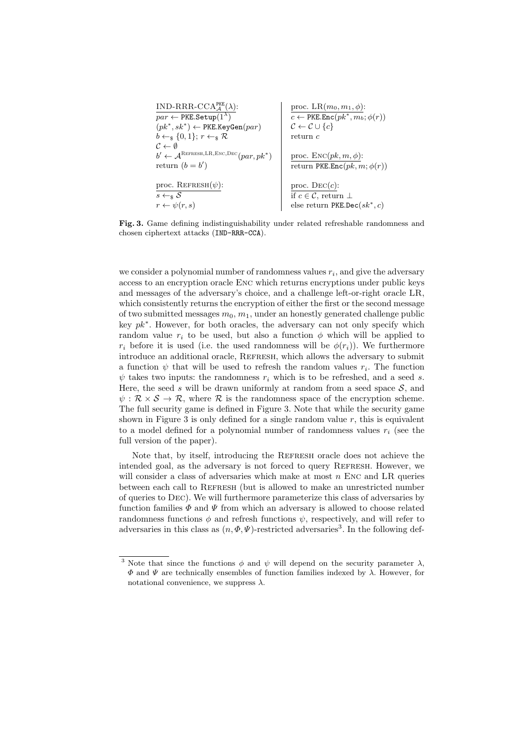| IND-RRR-CCA <sub>A</sub> <sup>PKE</sup> $(\lambda)$ :                      | proc. LR $(m_0, m_1, \phi)$ :                      |
|----------------------------------------------------------------------------|----------------------------------------------------|
| $par \leftarrow \texttt{PKE}.\texttt{Setup}(1^{\lambda})$                  | $c \leftarrow$ PKE.Enc $(pk^*, m_b; \phi(r))$      |
| $(pk^*, sk^*) \leftarrow \text{PKE.KeyGen}(par)$                           | $\mathcal{C} \leftarrow \mathcal{C} \cup \{c\}$    |
| $b \leftarrow_s \{0,1\}; r \leftarrow_s \mathcal{R}$                       | return $c$                                         |
| $\mathcal{C} \leftarrow \emptyset$                                         |                                                    |
| $b' \leftarrow \mathcal{A}^{\text{REFRESH}, \text{LR,ENC,DEC}}(par, pk^*)$ | proc. $\text{Enc}(pk, m, \phi)$ :                  |
| return $(b = b')$                                                          | return PKE.Enc $(pk, m; \phi(r))$                  |
|                                                                            |                                                    |
| proc. REFRESH $(\psi)$ :                                                   | proc. $DEC(c)$ :                                   |
| $s \leftarrow_s S$                                                         | if $c \in \overline{\mathcal{C}}$ , return $\perp$ |
| $r \leftarrow \psi(r,s)$                                                   | else return PKE.Dec $(\mathfrak{sk}^*, c)$         |

**Fig. 3.** Game defining indistinguishability under related refreshable randomness and chosen ciphertext attacks (IND-RRR-CCA).

we consider a polynomial number of randomness values *r<sup>i</sup>* , and give the adversary access to an encryption oracle Enc which returns encryptions under public keys and messages of the adversary's choice, and a challenge left-or-right oracle LR, which consistently returns the encryption of either the first or the second message of two submitted messages  $m_0$ ,  $m_1$ , under an honestly generated challenge public key *pk<sup>∗</sup>* . However, for both oracles, the adversary can not only specify which random value  $r_i$  to be used, but also a function  $\phi$  which will be applied to  $r_i$  before it is used (i.e. the used randomness will be  $\phi(r_i)$ ). We furthermore introduce an additional oracle, Refresh, which allows the adversary to submit a function  $\psi$  that will be used to refresh the random values  $r_i$ . The function  $\psi$  takes two inputs: the randomness  $r_i$  which is to be refreshed, and a seed *s*. Here, the seed *s* will be drawn uniformly at random from a seed space *S*, and  $\psi : \mathcal{R} \times \mathcal{S} \to \mathcal{R}$ , where  $\mathcal{R}$  is the randomness space of the encryption scheme. The full security game is defined in Figure 3. Note that while the security game shown in Figure 3 is only defined for a single random value  $r$ , this is equivalent to a model defined for a polynomial number of randomness values  $r_i$  (see the full version of the paper).

Note that, by itself, introducing the Refresh oracle does not achieve the intended goal, as the adversary is not forced to query Refresh. However, we will consider a class of adversaries which make at most *n* ENC and LR queries between each call to Refresh (but is allowed to make an unrestricted number of queries to Dec). We will furthermore parameterize this class of adversaries by function families *Φ* and *Ψ* from which an adversary is allowed to choose related randomness functions  $\phi$  and refresh functions  $\psi$ , respectively, and will refer to adversaries in this class as  $(n, \Phi, \Psi)$ -restricted adversaries<sup>3</sup>. In the following def-

<sup>&</sup>lt;sup>3</sup> Note that since the functions  $\phi$  and  $\psi$  will depend on the security parameter  $\lambda$ , *Φ* and *Ψ* are technically ensembles of function families indexed by *λ*. However, for notational convenience, we suppress  $\lambda$ .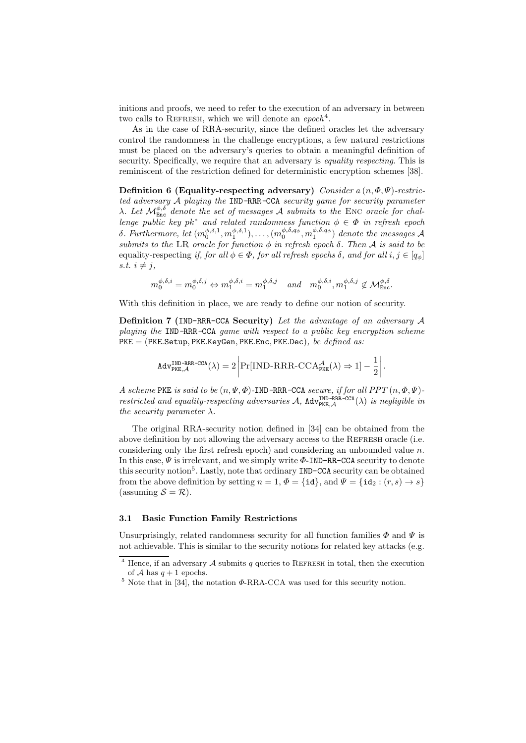initions and proofs, we need to refer to the execution of an adversary in between two calls to REFRESH, which we will denote an *epoch*<sup>4</sup>.

As in the case of RRA-security, since the defined oracles let the adversary control the randomness in the challenge encryptions, a few natural restrictions must be placed on the adversary's queries to obtain a meaningful definition of security. Specifically, we require that an adversary is *equality respecting*. This is reminiscent of the restriction defined for deterministic encryption schemes [38].

**Definition 6 (Equality-respecting adversary)** *Consider a* (*n, Φ, Ψ*)*-restricted adversary A playing the* IND*-*RRR*-*CCA *security game for security parameter λ. Let*  $M_{\text{Enc}}^{\phi,\delta}$  denote the set of messages *A* submits to the ENC *oracle for challenge public key*  $pk^*$  *and related randomness function*  $\phi \in \Phi$  *in refresh epoch*  $\delta$ *. Furthermore, let*  $(m_0^{\phi, \delta, 1}, m_1^{\phi, \delta, 1}), \ldots, (m_0^{\phi, \delta, q_\phi}, m_1^{\phi, \delta, q_\phi})$  denote the messages A *submits to the* LR *oracle for function*  $\phi$  *in refresh epoch*  $\delta$ *. Then*  $\mathcal A$  *is said to be* equality-respecting *if, for all*  $\phi \in \Phi$ *, for all refresh epochs*  $\delta$ *, and for all*  $i, j \in [q_{\phi}]$  $s.t.$   $i \neq j$ ,

$$
m_0^{\phi, \delta, i} = m_0^{\phi, \delta, j} \Leftrightarrow m_1^{\phi, \delta, i} = m_1^{\phi, \delta, j} \quad and \quad m_0^{\phi, \delta, i}, m_1^{\phi, \delta, j} \notin \mathcal{M}_{\text{Enc}}^{\phi, \delta}.
$$

With this definition in place, we are ready to define our notion of security.

**Definition 7 (**IND-RRR-CCA **Security)** *Let the advantage of an adversary A playing the* IND*-*RRR*-*CCA *game with respect to a public key encryption scheme* PKE = (PKE*.*Setup*,* PKE*.*KeyGen*,* PKE*.*Enc*,* PKE*.*Dec)*, be defined as:*

$$
\text{Adv}_{\text{PKE}, \mathcal{A}}^{\text{IND-RRR-CCA}}(\lambda) = 2 \left| \Pr[\text{IND-RRR-CCA}^{\mathcal{A}}_{\text{PKE}}(\lambda) \Rightarrow 1] - \frac{1}{2} \right|.
$$

*A scheme* PKE *is said to be* (*n, Ψ, Φ*)*-*IND*-*RRR*-*CCA *secure, if for all PPT* (*n, Φ, Ψ*) *restricted and equality-respecting adversaries*  $\mathcal{A}$ *,*  $\text{Adv}_{\text{PKE},\mathcal{A}}^{\text{IND-RRR-CCA}}(\lambda)$  *is negligible in the security parameter*  $\lambda$ *.* 

The original RRA-security notion defined in [34] can be obtained from the above definition by not allowing the adversary access to the REFRESH oracle (i.e. considering only the first refresh epoch) and considering an unbounded value *n*. In this case, *Ψ* is irrelevant, and we simply write *Φ*-IND-RR-CCA security to denote this security notion<sup>5</sup>. Lastly, note that ordinary IND-CCA security can be obtained from the above definition by setting  $n = 1$ ,  $\Phi = {\text{id}}$ , and  $\Psi = {\text{id}}_2 : (r, s) \rightarrow s$  $(\text{assuming } S = \mathcal{R}).$ 

### **3.1 Basic Function Family Restrictions**

Unsurprisingly, related randomness security for all function families  $\Phi$  and  $\Psi$  is not achievable. This is similar to the security notions for related key attacks (e.g.

 $4$  Hence, if an adversary A submits q queries to REFRESH in total, then the execution of  $A$  has  $q + 1$  epochs.

<sup>5</sup> Note that in [34], the notation *Φ*-RRA-CCA was used for this security notion.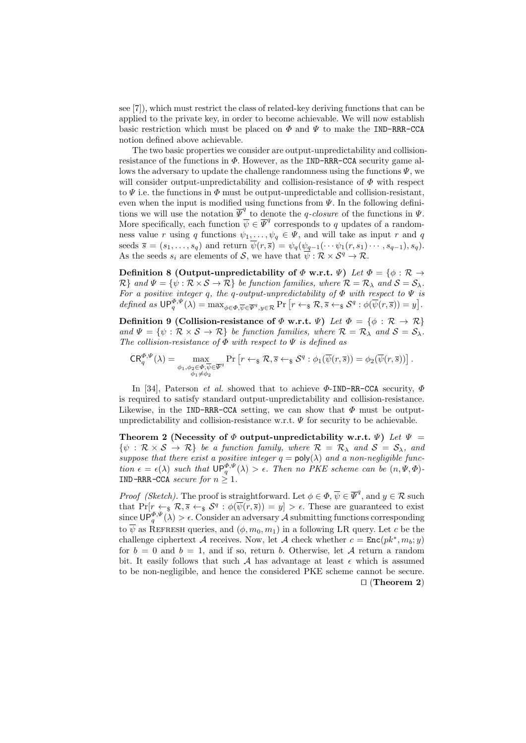see [7]), which must restrict the class of related-key deriving functions that can be applied to the private key, in order to become achievable. We will now establish basic restriction which must be placed on *Φ* and *Ψ* to make the IND-RRR-CCA notion defined above achievable.

The two basic properties we consider are output-unpredictability and collisionresistance of the functions in *Φ*. However, as the IND-RRR-CCA security game allows the adversary to update the challenge randomness using the functions  $\Psi$ , we will consider output-unpredictability and collision-resistance of *Φ* with respect to  $\Psi$  i.e. the functions in  $\Phi$  must be output-unpredictable and collision-resistant, even when the input is modified using functions from  $\Psi$ . In the following definitions we will use the notation  $\overline{\Psi}^q$  to denote the *q-closure* of the functions in  $\Psi$ . More specifically, each function  $\overline{\psi} \in \overline{\Psi}^q$  corresponds to q updates of a randomness value *r* using *q* functions  $\psi_1, \ldots, \psi_q \in \Psi$ , and will take as input *r* and *q* seeds  $\overline{s} = (s_1, \ldots, s_q)$  and return  $\overline{\psi}(r, \overline{s}) = \psi_q(\psi_{q-1}(\cdots \psi_1(r, s_1) \cdots, s_{q-1}), s_q)$ . As the seeds  $s_i$  are elements of *S*, we have that  $\overrightarrow{\psi} : \mathcal{R} \times \mathcal{S}^q \to \mathcal{R}$ .

**Definition 8 (Output-unpredictability of**  $\Phi$  **w.r.t.**  $\Psi$ ) Let  $\Phi = {\phi : \mathcal{R} \rightarrow \mathcal{R}}$  $\mathcal{R}$ *} and*  $\Psi = {\psi : \mathcal{R} \times \mathcal{S} \rightarrow \mathcal{R}}$  *be function families, where*  $\mathcal{R} = \mathcal{R}_{\lambda}$  *and*  $\mathcal{S} = \mathcal{S}_{\lambda}$ *. For a positive integer q, the q-output-unpredictability of Φ with respect to Ψ is* defined as  $\mathsf{UP}_q^{\Phi,\Psi}(\lambda) = \max_{\phi \in \Phi, \overline{\psi} \in \overline{\Psi}^q, y \in \mathcal{R}} \Pr\left[r \leftarrow_{\$} \mathcal{R}, \overline{s} \leftarrow_{\$} \mathcal{S}^q : \phi(\overline{\psi}(r,\overline{s})) = y\right].$ 

**Definition 9 (Collision-resistance of**  $\Phi$  **w.r.t.**  $\Psi$ ) *Let*  $\Phi = {\phi : \mathcal{R} \to \mathcal{R}}$ *and*  $\Psi = {\psi : \mathcal{R} \times \mathcal{S} \rightarrow \mathcal{R}}$  *be function families, where*  $\mathcal{R} = \mathcal{R}_{\lambda}$  *and*  $\mathcal{S} = \mathcal{S}_{\lambda}$ *. The collision-resistance of Φ with respect to Ψ is defined as*

$$
\mathsf{CR}_q^{\Phi,\Psi}(\lambda) = \max_{\substack{\phi_1,\phi_2 \in \Phi,\overline{\psi} \in \overline{\Psi}^q \\ \phi_1 \neq \phi_2}} \Pr\left[r \leftarrow_\$ \mathcal{R},\overline{s} \leftarrow_\$ \mathcal{S}^q : \phi_1(\overline{\psi}(r,\overline{s})) = \phi_2(\overline{\psi}(r,\overline{s}))\right].
$$

In [34], Paterson *et al.* showed that to achieve *Φ*-IND-RR-CCA security, *Φ* is required to satisfy standard output-unpredictability and collision-resistance. Likewise, in the IND-RRR-CCA setting, we can show that  $\Phi$  must be outputunpredictability and collision-resistance w.r.t.  $\Psi$  for security to be achievable.

**Theorem 2 (Necessity of** *Φ* **output-unpredictability w.r.t.** *Ψ***)** *Let Ψ* =  $\{\psi : \mathcal{R} \times \mathcal{S} \to \mathcal{R}\}$  *be a function family, where*  $\mathcal{R} = \mathcal{R}_{\lambda}$  *and*  $\mathcal{S} = \mathcal{S}_{\lambda}$ *, and suppose that there exist a positive integer*  $q = \text{poly}(\lambda)$  *and a non-negligible function*  $\epsilon = \epsilon(\lambda)$  *such that*  $\mathsf{UP}_q^{\Phi,\Psi}(\lambda) > \epsilon$ . Then no PKE scheme can be  $(n, \Psi, \Phi)$ -IND-RRR-CCA *secure for*  $n \geq 1$ *.* 

*Proof (Sketch).* The proof is straightforward. Let  $\phi \in \Phi$ ,  $\overline{\psi} \in \overline{\Psi}^q$ , and  $y \in \mathcal{R}$  such that  $Pr[r \leftarrow s \mathcal{R}, \overline{s} \leftarrow s \mathcal{S}^q : \phi(\overline{\psi}(r, \overline{s})) = y] > \epsilon$ . These are guaranteed to exist since  $\mathsf{UP}_q^{\Phi,\Psi}(\lambda) > \epsilon$ . Consider an adversary *A* submitting functions corresponding to  $\overline{\psi}$  as REFRESH queries, and  $(\phi, m_0, m_1)$  in a following LR query. Let *c* be the challenge ciphertext *A* receives. Now, let *A* check whether  $c = \text{Enc}(pk^*, m_b; y)$ for  $b = 0$  and  $b = 1$ , and if so, return *b*. Otherwise, let *A* return a random bit. It easily follows that such  $\mathcal A$  has advantage at least  $\epsilon$  which is assumed to be non-negligible, and hence the considered PKE scheme cannot be secure. *⊓⊔* (**Theorem 2**)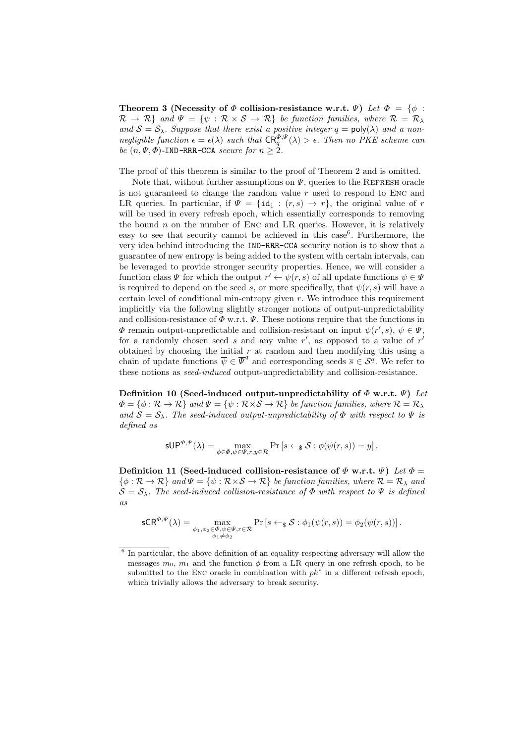**Theorem 3 (Necessity of**  $\Phi$  collision-resistance w.r.t.  $\Psi$ ) *Let*  $\Phi = {\phi : \phi$  $\mathcal{R} \to \mathcal{R}$ } and  $\Psi = {\psi : \mathcal{R} \times \mathcal{S} \to \mathcal{R}}$ } be function families, where  $\mathcal{R} = \mathcal{R}_{\lambda}$ *and*  $S = S_{\lambda}$ *. Suppose that there exist a positive integer*  $q = \text{poly}(\lambda)$  *and a nonnegligible function*  $\epsilon = \epsilon(\lambda)$  *such that*  $CR_q^{\Phi, \Psi}(\lambda) > \epsilon$ . Then no PKE scheme can *be*  $(n, \Psi, \Phi)$ -IND-RRR-CCA *secure for*  $n > 2$ .

The proof of this theorem is similar to the proof of Theorem 2 and is omitted.

Note that, without further assumptions on *Ψ*, queries to the Refresh oracle is not guaranteed to change the random value *r* used to respond to Enc and LR queries. In particular, if  $\Psi = {\text{id}_1 : (r, s) \rightarrow r}$ , the original value of *r* will be used in every refresh epoch, which essentially corresponds to removing the bound *n* on the number of Enc and LR queries. However, it is relatively easy to see that security cannot be achieved in this case<sup>6</sup>. Furthermore, the very idea behind introducing the IND-RRR-CCA security notion is to show that a guarantee of new entropy is being added to the system with certain intervals, can be leveraged to provide stronger security properties. Hence, we will consider a function class  $\Psi$  for which the output  $r' \leftarrow \psi(r, s)$  of all update functions  $\psi \in \Psi$ is required to depend on the seed *s*, or more specifically, that  $\psi(r, s)$  will have a certain level of conditional min-entropy given *r*. We introduce this requirement implicitly via the following slightly stronger notions of output-unpredictability and collision-resistance of  $\Phi$  w.r.t.  $\Psi$ . These notions require that the functions in  $\Phi$  remain output-unpredictable and collision-resistant on input  $\psi(r',s)$ ,  $\psi \in \Psi$ , for a randomly chosen seed *s* and any value *r ′* , as opposed to a value of *r ′* obtained by choosing the initial  $r$  at random and then modifying this using a chain of update functions  $\overline{\psi} \in \overline{\Psi}^q$  and corresponding seeds  $\overline{s} \in \mathcal{S}^q$ . We refer to these notions as *seed-induced* output-unpredictability and collision-resistance.

**Definition 10 (Seed-induced output-unpredictability of** *Φ* **w.r.t.** *Ψ***)** *Let*  $\Phi = {\phi : \mathcal{R} \to \mathcal{R}}$  *and*  $\Psi = {\psi : \mathcal{R} \times \mathcal{S} \to \mathcal{R}}$  *be function families, where*  $\mathcal{R} = \mathcal{R}_{\lambda}$ *and*  $\mathcal{S} = \mathcal{S}_{\lambda}$ *. The seed-induced output-unpredictability of*  $\Phi$  *with respect to*  $\Psi$  *is defined as*

$$
\mathsf{sUP}^{\Phi,\Psi}(\lambda) = \max_{\phi \in \Phi, \psi \in \Psi, r, y \in \mathcal{R}} \Pr\left[s \leftarrow_{\$} \mathcal{S} : \phi(\psi(r,s)) = y\right].
$$

**Definition 11 (Seed-induced collision-resistance of**  $\Phi$  **w.r.t.**  $\Psi$ **)** Let  $\Phi$  =  $\{\phi : \mathcal{R} \to \mathcal{R}\}$  *and*  $\Psi = \{\psi : \mathcal{R} \times \mathcal{S} \to \mathcal{R}\}$  *be function families, where*  $\mathcal{R} = \mathcal{R}_{\lambda}$  *and*  $S = S_{\lambda}$ *. The seed-induced collision-resistance of*  $\Phi$  *with respect to*  $\Psi$  *is defined as*

$$
\mathsf{sCR}^{\Phi,\Psi}(\lambda) = \max_{\substack{\phi_1,\phi_2 \in \Phi, \psi \in \Psi, r \in \mathcal{R} \\ \phi_1 \neq \phi_2}} \Pr\left[s \leftarrow_\$ \mathcal{S} : \phi_1(\psi(r,s)) = \phi_2(\psi(r,s))\right].
$$

<sup>&</sup>lt;sup>6</sup> In particular, the above definition of an equality-respecting adversary will allow the messages  $m_0$ ,  $m_1$  and the function  $\phi$  from a LR query in one refresh epoch, to be submitted to the ENC oracle in combination with  $pk^*$  in a different refresh epoch, which trivially allows the adversary to break security.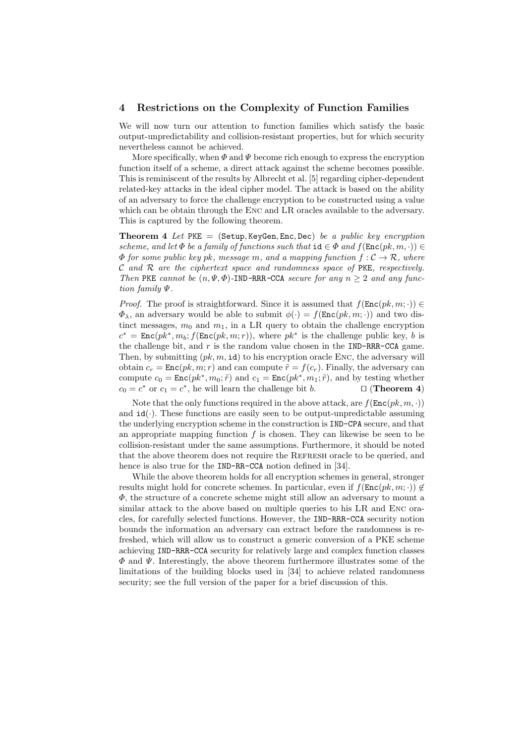### **4 Restrictions on the Complexity of Function Families**

We will now turn our attention to function families which satisfy the basic output-unpredictability and collision-resistant properties, but for which security nevertheless cannot be achieved.

More specifically, when *Φ* and *Ψ* become rich enough to express the encryption function itself of a scheme, a direct attack against the scheme becomes possible. This is reminiscent of the results by Albrecht et al. [5] regarding cipher-dependent related-key attacks in the ideal cipher model. The attack is based on the ability of an adversary to force the challenge encryption to be constructed using a value which can be obtain through the Enc and LR oracles available to the adversary. This is captured by the following theorem.

**Theorem 4** *Let* PKE = (Setup*,* KeyGen*,* Enc*,* Dec) *be a public key encryption scheme, and let*  $\Phi$  *be a family of functions such that*  $id \in \Phi$  *and*  $f(\text{Enc}(pk, m, \cdot)) \in$ *Φ for some public key pk, message m, and a mapping function f* : *C → R, where C and R are the ciphertext space and randomness space of* PKE*, respectively. Then* PKE *cannot be*  $(n, \Psi, \Phi)$ -IND-RRR-CCA *secure for any*  $n \geq 2$  *and any* func*tion family Ψ.*

*Proof.* The proof is straightforward. Since it is assumed that  $f(\text{Enc}(pk, m; \cdot)) \in$  $\Phi_{\lambda}$ , an adversary would be able to submit  $\phi(\cdot) = f(\text{Enc}(pk, m; \cdot))$  and two distinct messages,  $m_0$  and  $m_1$ , in a LR query to obtain the challenge encryption  $c^* = \text{Enc}(pk^*, m_b; f(\text{Enc}(pk, m; r))$ , where  $pk^*$  is the challenge public key, *b* is the challenge bit, and  $r$  is the random value chosen in the IND-RRR-CCA game. Then, by submitting  $(pk, m, id)$  to his encryption oracle ENC, the adversary will obtain  $c_r = \text{Enc}(pk, m; r)$  and can compute  $\tilde{r} = f(c_r)$ . Finally, the adversary can compute  $c_0 = \text{Enc}(pk^*, m_0; \tilde{r})$  and  $c_1 = \text{Enc}(pk^*, m_1; \tilde{r})$ , and by testing whether  $c_0 = c^*$  or  $c_1 = c^*$ , he will learn the challenge bit *b*.  $\Box$  (**Theorem 4**)

Note that the only functions required in the above attack, are  $f(\text{Enc}(pk, m, \cdot))$ and id(*·*). These functions are easily seen to be output-unpredictable assuming the underlying encryption scheme in the construction is IND-CPA secure, and that an appropriate mapping function  $f$  is chosen. They can likewise be seen to be collision-resistant under the same assumptions. Furthermore, it should be noted that the above theorem does not require the Refresh oracle to be queried, and hence is also true for the IND-RR-CCA notion defined in [34].

While the above theorem holds for all encryption schemes in general, stronger results might hold for concrete schemes. In particular, even if  $f(\text{Enc}(pk, m; \cdot)) \notin$ *Φ*, the structure of a concrete scheme might still allow an adversary to mount a similar attack to the above based on multiple queries to his LR and ENC oracles, for carefully selected functions. However, the IND-RRR-CCA security notion bounds the information an adversary can extract before the randomness is refreshed, which will allow us to construct a generic conversion of a PKE scheme achieving IND-RRR-CCA security for relatively large and complex function classes *Φ* and *Ψ*. Interestingly, the above theorem furthermore illustrates some of the limitations of the building blocks used in [34] to achieve related randomness security; see the full version of the paper for a brief discussion of this.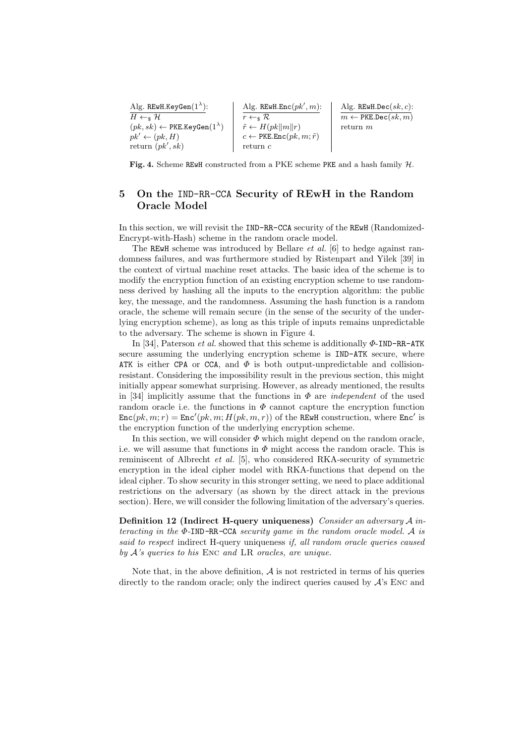| Alg. REWH.KeyGen $(1^{\lambda})$ :                   | Alg. REWH.Enc $(pk', m)$ :                  | Alg. REWH.Dec $(sk, c)$ :            |
|------------------------------------------------------|---------------------------------------------|--------------------------------------|
| $H \leftarrow_{\rm s} \mathcal{H}$                   | $r \leftarrow s \mathcal{R}$                | $m \leftarrow \text{PKE.Dec}(sk, m)$ |
| $(pk, sk) \leftarrow \text{PKE.KeyGen}(1^{\lambda})$ | $\tilde{r} \leftarrow H(pk  m  r)$          | return $m$                           |
| $pk' \leftarrow (pk, H)$                             | $c \leftarrow$ PKE.Enc $(pk, m; \tilde{r})$ |                                      |
| return $(pk', sk)$                                   | return c                                    |                                      |

**Fig. 4.** Scheme REwH constructed from a PKE scheme PKE and a hash family *H*.

# **5 On the** IND-RR-CCA **Security of REwH in the Random Oracle Model**

In this section, we will revisit the IND-RR-CCA security of the REwH (Randomized-Encrypt-with-Hash) scheme in the random oracle model.

The REwH scheme was introduced by Bellare *et al.* [6] to hedge against randomness failures, and was furthermore studied by Ristenpart and Yilek [39] in the context of virtual machine reset attacks. The basic idea of the scheme is to modify the encryption function of an existing encryption scheme to use randomness derived by hashing all the inputs to the encryption algorithm: the public key, the message, and the randomness. Assuming the hash function is a random oracle, the scheme will remain secure (in the sense of the security of the underlying encryption scheme), as long as this triple of inputs remains unpredictable to the adversary. The scheme is shown in Figure 4.

In [34], Paterson *et al.* showed that this scheme is additionally *Φ*-IND-RR-ATK secure assuming the underlying encryption scheme is IND-ATK secure, where ATK is either CPA or CCA, and  $\Phi$  is both output-unpredictable and collisionresistant. Considering the impossibility result in the previous section, this might initially appear somewhat surprising. However, as already mentioned, the results in [34] implicitly assume that the functions in *Φ* are *independent* of the used random oracle i.e. the functions in  $\Phi$  cannot capture the encryption function  $Enc(pk, m; r) = Enc'(pk, m; H(pk, m, r))$  of the REWH construction, where Enc' is the encryption function of the underlying encryption scheme.

In this section, we will consider  $\Phi$  which might depend on the random oracle, i.e. we will assume that functions in  $\Phi$  might access the random oracle. This is reminiscent of Albrecht *et al.* [5], who considered RKA-security of symmetric encryption in the ideal cipher model with RKA-functions that depend on the ideal cipher. To show security in this stronger setting, we need to place additional restrictions on the adversary (as shown by the direct attack in the previous section). Here, we will consider the following limitation of the adversary's queries.

**Definition 12 (Indirect H-query uniqueness)** *Consider an adversary A interacting in the Φ-*IND*-*RR*-*CCA *security game in the random oracle model. A is said to respect* indirect H-query uniqueness *if, all random oracle queries caused by A's queries to his* Enc *and* LR *oracles, are unique.*

Note that, in the above definition,  $A$  is not restricted in terms of his queries directly to the random oracle; only the indirect queries caused by *A*'s Enc and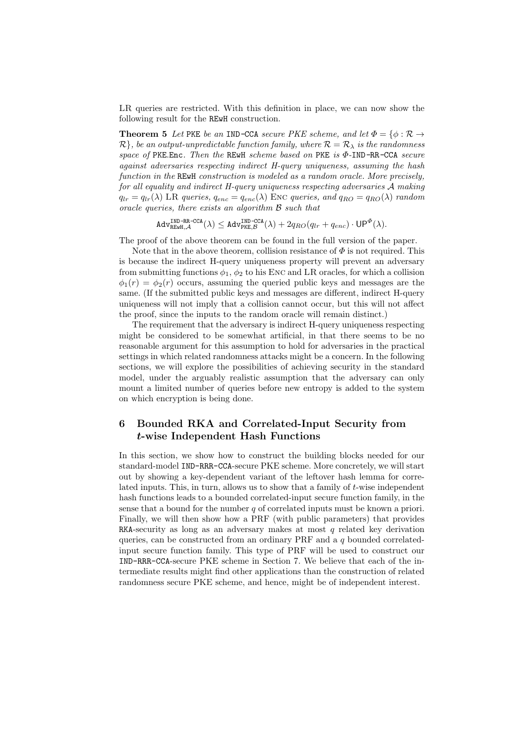LR queries are restricted. With this definition in place, we can now show the following result for the REwH construction.

**Theorem 5** *Let* PKE *be an* IND-CCA *secure PKE scheme, and let*  $\Phi = {\phi : R \rightarrow R}$  $\mathcal{R}$ *}, be an output-unpredictable function family, where*  $\mathcal{R} = \mathcal{R}_{\lambda}$  *is the randomness space of* PKE*.*Enc*. Then the* REwH *scheme based on* PKE *is Φ-*IND*-*RR*-*CCA *secure against adversaries respecting indirect H-query uniqueness, assuming the hash function in the* REwH *construction is modeled as a random oracle. More precisely, for all equality and indirect H-query uniqueness respecting adversaries A making*  $q_{lr} = q_{lr}(\lambda)$  LR *queries,*  $q_{enc} = q_{enc}(\lambda)$  Enc *queries, and*  $q_{RO} = q_{RO}(\lambda)$  *random oracle queries, there exists an algorithm B such that*

 $\text{Adv}_{\text{REwH},\mathcal{A}}^{\text{IND-RR-CCA}}(\lambda) \leq \text{Adv}_{\text{PKE},\mathcal{B}}^{\text{IND-CCA}}(\lambda) + 2q_{RO}(q_{lr} + q_{enc}) \cdot \text{UP}^{\Phi}(\lambda).$ 

The proof of the above theorem can be found in the full version of the paper.

Note that in the above theorem, collision resistance of  $\Phi$  is not required. This is because the indirect H-query uniqueness property will prevent an adversary from submitting functions  $\phi_1$ ,  $\phi_2$  to his ENC and LR oracles, for which a collision  $\phi_1(r) = \phi_2(r)$  occurs, assuming the queried public keys and messages are the same. (If the submitted public keys and messages are different, indirect H-query uniqueness will not imply that a collision cannot occur, but this will not affect the proof, since the inputs to the random oracle will remain distinct.)

The requirement that the adversary is indirect H-query uniqueness respecting might be considered to be somewhat artificial, in that there seems to be no reasonable argument for this assumption to hold for adversaries in the practical settings in which related randomness attacks might be a concern. In the following sections, we will explore the possibilities of achieving security in the standard model, under the arguably realistic assumption that the adversary can only mount a limited number of queries before new entropy is added to the system on which encryption is being done.

# **6 Bounded RKA and Correlated-Input Security from** *t***-wise Independent Hash Functions**

In this section, we show how to construct the building blocks needed for our standard-model IND-RRR-CCA-secure PKE scheme. More concretely, we will start out by showing a key-dependent variant of the leftover hash lemma for correlated inputs. This, in turn, allows us to show that a family of *t*-wise independent hash functions leads to a bounded correlated-input secure function family, in the sense that a bound for the number *q* of correlated inputs must be known a priori. Finally, we will then show how a PRF (with public parameters) that provides RKA-security as long as an adversary makes at most *q* related key derivation queries, can be constructed from an ordinary PRF and a *q* bounded correlatedinput secure function family. This type of PRF will be used to construct our IND-RRR-CCA-secure PKE scheme in Section 7. We believe that each of the intermediate results might find other applications than the construction of related randomness secure PKE scheme, and hence, might be of independent interest.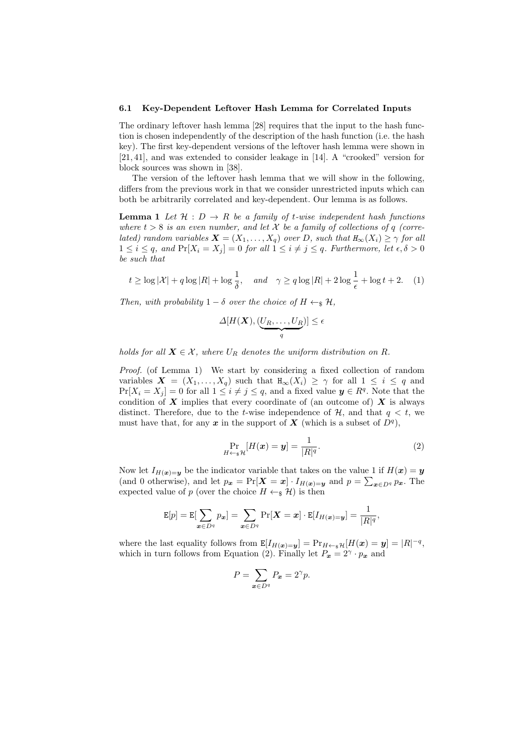#### **6.1 Key-Dependent Leftover Hash Lemma for Correlated Inputs**

The ordinary leftover hash lemma [28] requires that the input to the hash function is chosen independently of the description of the hash function (i.e. the hash key). The first key-dependent versions of the leftover hash lemma were shown in [21, 41], and was extended to consider leakage in [14]. A "crooked" version for block sources was shown in [38].

The version of the leftover hash lemma that we will show in the following, differs from the previous work in that we consider unrestricted inputs which can both be arbitrarily correlated and key-dependent. Our lemma is as follows.

**Lemma 1** *Let*  $H : D \to R$  *be a family of t-wise independent hash functions* where  $t > 8$  *is an even number, and let*  $X$  *be a family of collections of q (correlated)* random variables  $\mathbf{X} = (X_1, \ldots, X_q)$  over *D*, such that  $H_\infty(X_i) \geq \gamma$  for all  $1 \leq i \leq q$ , and  $\Pr[X_i = X_j] = 0$  for all  $1 \leq i \neq j \leq q$ . Furthermore, let  $\epsilon, \delta > 0$ *be such that*

$$
t \ge \log |\mathcal{X}| + q \log |R| + \log \frac{1}{\delta}, \quad \text{and} \quad \gamma \ge q \log |R| + 2 \log \frac{1}{\epsilon} + \log t + 2. \tag{1}
$$

*Then, with probability*  $1 - \delta$  *over the choice of*  $H \leftarrow_{\mathbb{S}} \mathcal{H}$ *,* 

$$
\Delta[H(\boldsymbol{X}), (\underbrace{U_R, \ldots, U_R}_{q})] \leq \epsilon
$$

*holds for all*  $X \in \mathcal{X}$ *, where*  $U_R$  *denotes the uniform distribution on*  $R$ *.* 

*Proof.* (of Lemma 1) We start by considering a fixed collection of random variables  $X = (X_1, \ldots, X_q)$  such that  $H_\infty(X_i) \geq \gamma$  for all  $1 \leq i \leq q$  and  $Pr[X_i = X_j] = 0$  for all  $1 \leq i \neq j \leq q$ , and a fixed value  $y \in R^q$ . Note that the condition of  $\boldsymbol{X}$  implies that every coordinate of (an outcome of)  $\boldsymbol{X}$  is always distinct. Therefore, due to the *t*-wise independence of  $H$ , and that  $q < t$ , we must have that, for any  $x$  in the support of  $X$  (which is a subset of  $D<sup>q</sup>$ ),

$$
\Pr_{H \leftarrow \mathcal{S}} \mathcal{H}[H(\boldsymbol{x}) = \boldsymbol{y}] = \frac{1}{|R|^q}.
$$
 (2)

Now let  $I_{H(\boldsymbol{x})=\boldsymbol{y}}$  be the indicator variable that takes on the value 1 if  $H(\boldsymbol{x})=\boldsymbol{y}$ (and 0 otherwise), and let  $p_x = \Pr[\mathbf{X} = \mathbf{x}] \cdot I_{H(x)=y}$  and  $p = \sum_{x \in D^q} p_x$ . The expected value of *p* (over the choice  $H \leftarrow_{\S} \mathcal{H}$ ) is then

$$
\mathbf{E}[p] = \mathbf{E}[\sum_{\mathbf{x} \in D^q} p_{\mathbf{x}}] = \sum_{\mathbf{x} \in D^q} \Pr[\mathbf{X} = \mathbf{x}] \cdot \mathbf{E}[I_{H(\mathbf{x}) = \mathbf{y}}] = \frac{1}{|R|^q},
$$

where the last equality follows from  $E[I_{H(\boldsymbol{x})=\boldsymbol{y}}] = Pr_{H \leftarrow s} \mathcal{H}[H(\boldsymbol{x}) = \boldsymbol{y}] = |R|^{-q}$ , which in turn follows from Equation (2). Finally let  $P_x = 2^{\gamma} \cdot p_x$  and

$$
P = \sum_{\mathbf{x} \in D^q} P_{\mathbf{x}} = 2^{\gamma} p.
$$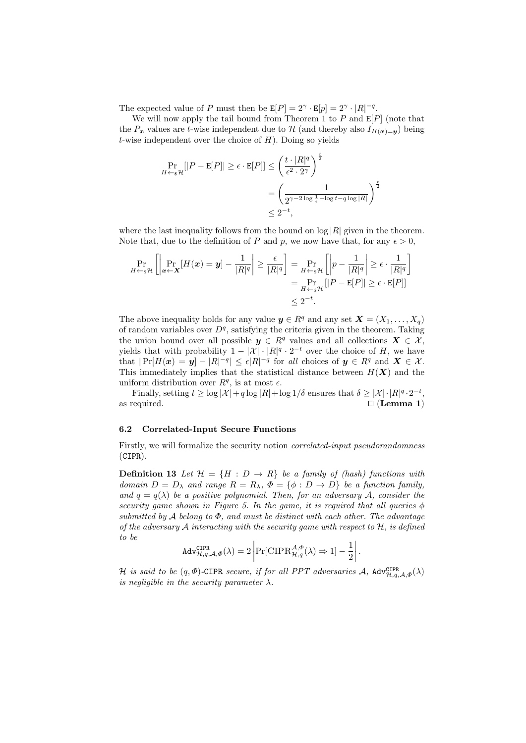The expected value of *P* must then be  $\mathbb{E}[P] = 2^{\gamma} \cdot \mathbb{E}[p] = 2^{\gamma} \cdot |R|^{-q}$ .

We will now apply the tail bound from Theorem 1 to  $P$  and  $E[P]$  (note that the  $P_x$  values are *t*-wise independent due to  $H$  (and thereby also  $I_{H(x)=y}$ ) being *t*-wise independent over the choice of *H*). Doing so yields

$$
\Pr_{H \leftarrow_{\mathbf{s}} \mathcal{H}}[|P - \mathbf{E}[P]| \ge \epsilon \cdot \mathbf{E}[P]] \le \left(\frac{t \cdot |R|^q}{\epsilon^2 \cdot 2^{\gamma}}\right)^{\frac{t}{2}} \\
= \left(\frac{1}{2^{\gamma - 2 \log \frac{1}{\epsilon} - \log t - q \log |R|}}\right)^{\frac{t}{2}} \\
\le 2^{-t},
$$

where the last inequality follows from the bound on  $log |R|$  given in the theorem. Note that, due to the definition of *P* and *p*, we now have that, for any  $\epsilon > 0$ ,

$$
\Pr_{H \leftarrow_{\mathbf{s}} \mathcal{H}} \left[ \left| \Pr_{\mathbf{x} \leftarrow \mathbf{X}} [H(\mathbf{x}) = \mathbf{y}] - \frac{1}{|R|^q} \right| \ge \frac{\epsilon}{|R|^q} \right] = \Pr_{H \leftarrow_{\mathbf{s}} \mathcal{H}} \left[ \left| p - \frac{1}{|R|^q} \right| \ge \epsilon \cdot \frac{1}{|R|^q} \right] \\
= \Pr_{H \leftarrow_{\mathbf{s}} \mathcal{H}} [|P - \mathbf{E}[P]| \ge \epsilon \cdot \mathbf{E}[P]] \\
\le 2^{-t}.
$$

The above inequality holds for any value  $y \in R^q$  and any set  $\mathbf{X} = (X_1, \ldots, X_q)$ of random variables over  $D<sup>q</sup>$ , satisfying the criteria given in the theorem. Taking the union bound over all possible  $y \in R^q$  values and all collections  $X \in \mathcal{X}$ , yields that with probability  $1 - |\mathcal{X}| \cdot |R|^q \cdot 2^{-t}$  over the choice of *H*, we have that  $|\Pr[H(x) = y] - |R|^{-q}| \leq \epsilon |R|^{-q}$  for all choices of  $y \in R^q$  and  $X \in \mathcal{X}$ . This immediately implies that the statistical distance between  $H(X)$  and the uniform distribution over  $R<sup>q</sup>$ , is at most  $\epsilon$ .

Finally, setting  $t \geq \log |\mathcal{X}| + q \log |R| + \log 1/\delta$  ensures that  $\delta \geq |\mathcal{X}| \cdot |R|^q \cdot 2^{-t}$ , as required. *⊓⊔* (**Lemma 1**)

### **6.2 Correlated-Input Secure Functions**

Firstly, we will formalize the security notion *correlated-input pseudorandomness* (CIPR).

**Definition 13** Let  $\mathcal{H} = \{H : D \to R\}$  be a family of (hash) functions with *domain*  $D = D_{\lambda}$  *and range*  $R = R_{\lambda}$ ,  $\Phi = {\phi : D \rightarrow D}$  *be a function family, and*  $q = q(\lambda)$  *be a positive polynomial. Then, for an adversary A, consider the security game shown in Figure 5. In the game, it is required that all queries*  $\phi$ *submitted by A belong to Φ, and must be distinct with each other. The advantage of the adversary A interacting with the security game with respect to H, is defined to be*

$$
\mathrm{Adv}_{\mathcal{H},q,\mathcal{A},\varPhi}^{\mathrm{CIPR}}(\lambda) = 2 \left| \Pr[\mathrm{CIPR}_{\mathcal{H},q}^{\mathcal{A},\varPhi}(\lambda) \Rightarrow 1] - \frac{1}{2} \right|.
$$

*H is said to be*  $(q, \Phi)$ -CIPR *secure, if for all PPT adversaries A*,  $\text{Adv}^{\text{CIPR}}_{H,q,A,\Phi}(\lambda)$ *is negligible in the security parameter*  $\lambda$ *.*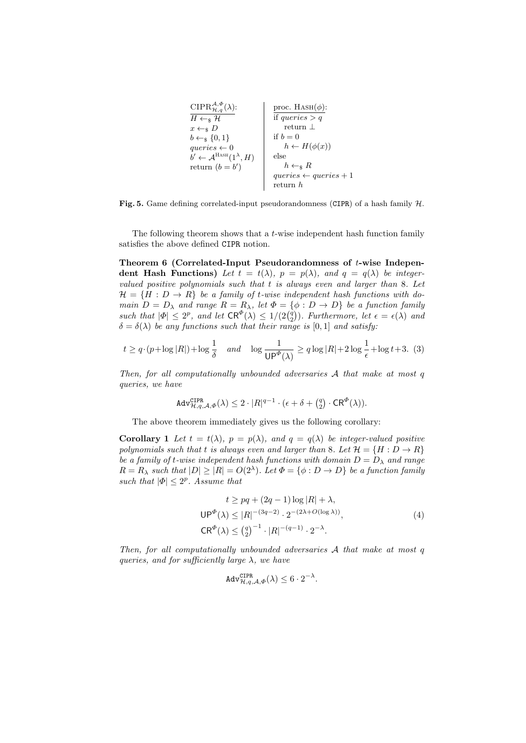

**Fig. 5.** Game defining correlated-input pseudorandomness (CIPR) of a hash family *H*.

The following theorem shows that a *t*-wise independent hash function family satisfies the above defined CIPR notion.

**Theorem 6 (Correlated-Input Pseudorandomness of** *t***-wise Independent Hash Functions)** Let  $t = t(\lambda)$ ,  $p = p(\lambda)$ , and  $q = q(\lambda)$  be integer*valued positive polynomials such that t is always even and larger than* 8*. Let*  $\mathcal{H} = \{H : D \to R\}$  *be a family of t-wise independent hash functions with domain*  $D = D_{\lambda}$  *and range*  $R = R_{\lambda}$ *, let*  $\Phi = {\phi : D \to D}$  *be a function family such that*  $|\Phi| \leq 2^p$ , and let  $CR^{\Phi}(\lambda) \leq 1/(2{q \choose 2})$ . Furthermore, let  $\epsilon = \epsilon(\lambda)$  and  $\delta = \delta(\lambda)$  *be any functions such that their range is* [0, 1] *and satisfy:* 

$$
t \ge q \cdot (p + \log |R|) + \log \frac{1}{\delta} \quad \text{and} \quad \log \frac{1}{\mathsf{UP}^{\Phi}(\lambda)} \ge q \log |R| + 2 \log \frac{1}{\epsilon} + \log t + 3. \tag{3}
$$

*Then, for all computationally unbounded adversaries A that make at most q queries, we have*

$$
\mathsf{Adv}_{\mathcal{H},q,\mathcal{A},\Phi}^{\mathsf{CIPR}}(\lambda) \leq 2 \cdot |R|^{q-1} \cdot (\epsilon + \delta + \binom{q}{2} \cdot \mathsf{CR}^{\Phi}(\lambda)).
$$

The above theorem immediately gives us the following corollary:

**Corollary 1** Let  $t = t(\lambda)$ ,  $p = p(\lambda)$ , and  $q = q(\lambda)$  be integer-valued positive *polynomials such that t is always even and larger than* 8*. Let*  $\mathcal{H} = \{H : D \to R\}$ *be a family of t-wise independent hash functions with domain*  $D = D_{\lambda}$  *and range*  $R = R_{\lambda}$  *such that*  $|D| \geq |R| = O(2^{\lambda})$ *. Let*  $\Phi = \{\phi : D \to D\}$  *be a function family such that*  $|\Phi| \leq 2^p$ *. Assume that* 

$$
t \ge pq + (2q - 1)\log |R| + \lambda,
$$
  
\n
$$
\mathsf{UP}^{\Phi}(\lambda) \le |R|^{-(3q-2)} \cdot 2^{-(2\lambda + O(\log \lambda))},
$$
  
\n
$$
\mathsf{CR}^{\Phi}(\lambda) \le {q \choose 2}^{-1} \cdot |R|^{-(q-1)} \cdot 2^{-\lambda}.
$$
\n(4)

*Then, for all computationally unbounded adversaries A that make at most q queries, and for sufficiently large λ, we have*

$$
\mathsf{Adv}_{\mathcal{H},q,\mathcal{A},\varPhi}^{\mathsf{CIPR}}(\lambda) \leq 6 \cdot 2^{-\lambda}.
$$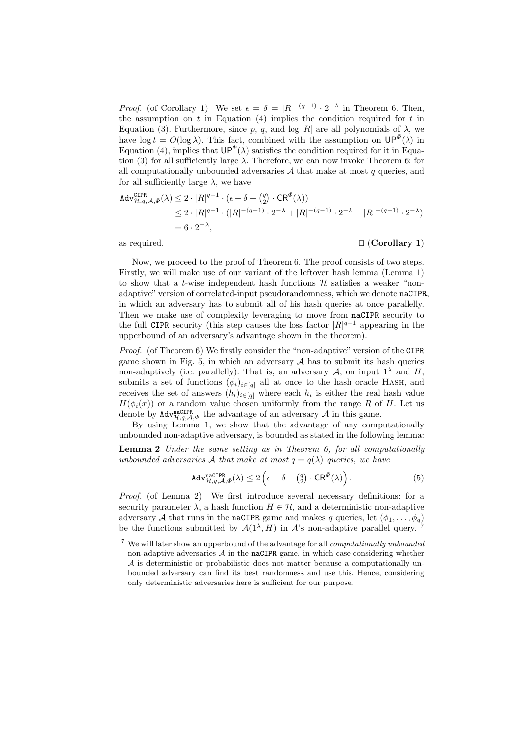*Proof.* (of Corollary 1) We set  $\epsilon = \delta = |R|^{-(q-1)} \cdot 2^{-\lambda}$  in Theorem 6. Then, the assumption on *t* in Equation (4) implies the condition required for *t* in Equation (3). Furthermore, since p, q, and  $log |R|$  are all polynomials of  $\lambda$ , we have  $\log t = O(\log \lambda)$ . This fact, combined with the assumption on  $\mathsf{UP}^{\Phi}(\lambda)$  in Equation (4), implies that  $UP^{\Phi}(\lambda)$  satisfies the condition required for it in Equation (3) for all sufficiently large  $\lambda$ . Therefore, we can now invoke Theorem 6: for all computationally unbounded adversaries *A* that make at most *q* queries, and for all sufficiently large  $\lambda$ , we have

$$
\begin{aligned} \text{Adv}_{\mathcal{H},q,\mathcal{A},\Phi}^{\text{CIPR}}(\lambda) &\leq 2 \cdot |R|^{q-1} \cdot (\epsilon + \delta + \binom{q}{2} \cdot \text{CR}^{\Phi}(\lambda)) \\ &\leq 2 \cdot |R|^{q-1} \cdot (|R|^{-(q-1)} \cdot 2^{-\lambda} + |R|^{-(q-1)} \cdot 2^{-\lambda} + |R|^{-(q-1)} \cdot 2^{-\lambda}) \\ &= 6 \cdot 2^{-\lambda}, \end{aligned}
$$

### as required. *⊓⊔* (**Corollary 1**)

Now, we proceed to the proof of Theorem 6. The proof consists of two steps. Firstly, we will make use of our variant of the leftover hash lemma (Lemma 1) to show that a *t*-wise independent hash functions  $H$  satisfies a weaker "nonadaptive" version of correlated-input pseudorandomness, which we denote naCIPR, in which an adversary has to submit all of his hash queries at once parallelly. Then we make use of complexity leveraging to move from naCIPR security to the full CIPR security (this step causes the loss factor  $|R|^{q-1}$  appearing in the upperbound of an adversary's advantage shown in the theorem).

*Proof.* (of Theorem 6) We firstly consider the "non-adaptive" version of the CIPR game shown in Fig. 5, in which an adversary  $A$  has to submit its hash queries non-adaptively (i.e. parallelly). That is, an adversary  $A$ , on input  $1^{\lambda}$  and  $H$ , submits a set of functions  $(\phi_i)_{i \in [q]}$  all at once to the hash oracle HASH, and receives the set of answers  $(h_i)_{i \in [q]}$  where each  $h_i$  is either the real hash value  $H(\phi_i(x))$  or a random value chosen uniformly from the range *R* of *H*. Let us denote by  $\text{Adv}_{\mathcal{H},q,\mathcal{A},\Phi}^{\texttt{naCIPR}}$  the advantage of an adversary  $\mathcal A$  in this game.

By using Lemma 1, we show that the advantage of any computationally unbounded non-adaptive adversary, is bounded as stated in the following lemma:

**Lemma 2** *Under the same setting as in Theorem 6, for all computationally unbounded adversaries* A *that make at most*  $q = q(\lambda)$  *queries, we have* 

$$
\text{Adv}_{\mathcal{H},q,\mathcal{A},\Phi}^{\text{naCIPR}}(\lambda) \le 2\left(\epsilon + \delta + \binom{q}{2} \cdot \text{CR}^{\Phi}(\lambda)\right). \tag{5}
$$

*Proof.* (of Lemma 2) We first introduce several necessary definitions: for a security parameter  $\lambda$ , a hash function  $H \in \mathcal{H}$ , and a deterministic non-adaptive adversary *A* that runs in the naCIPR game and makes *q* queries, let  $(\phi_1, \ldots, \phi_q)$ be the functions submitted by  $A(1^{\lambda}, H)$  in  $A$ 's non-adaptive parallel query.<sup>7</sup>

<sup>7</sup> We will later show an upperbound of the advantage for all *computationally unbounded* non-adaptive adversaries  $A$  in the naCIPR game, in which case considering whether *A* is deterministic or probabilistic does not matter because a computationally unbounded adversary can find its best randomness and use this. Hence, considering only deterministic adversaries here is sufficient for our purpose.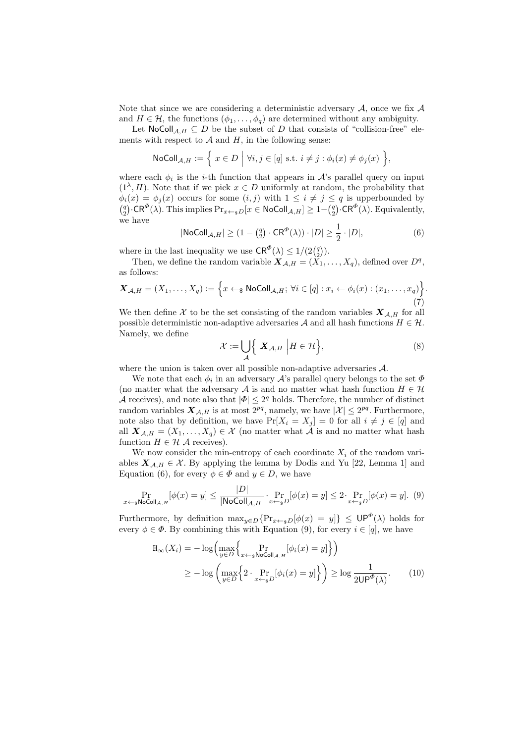Note that since we are considering a deterministic adversary *A*, once we fix *A* and  $H \in \mathcal{H}$ , the functions  $(\phi_1, \ldots, \phi_q)$  are determined without any ambiguity.

Let  $\text{NoColl}_{\mathcal{A},H} \subseteq D$  be the subset of *D* that consists of "collision-free" elements with respect to  $A$  and  $H$ , in the following sense:

$$
\mathsf{NoColl}_{\mathcal{A},H} := \left\{ x \in D \mid \forall i, j \in [q] \text{ s.t. } i \neq j : \phi_i(x) \neq \phi_j(x) \right\},\
$$

where each  $\phi_i$  is the *i*-th function that appears in  $\mathcal{A}$ 's parallel query on input  $(1^{\lambda}, H)$ . Note that if we pick  $x \in D$  uniformly at random, the probability that  $\phi_i(x) = \phi_j(x)$  occurs for some  $(i, j)$  with  $1 \leq i \neq j \leq q$  is upperbounded by  ${q \choose 2} \cdot \mathsf{CR}^{\Phi}(\lambda)$ . This implies  $\Pr_{x \leftarrow s} D[x \in \mathsf{NoColl}_{\mathcal{A},H}] \geq 1 - {q \choose 2} \cdot \mathsf{CR}^{\Phi}(\lambda)$ . Equivalently, we have

$$
|\text{NoColl}_{\mathcal{A},H}| \ge (1 - \binom{q}{2} \cdot \text{CR}^{\mathcal{D}}(\lambda)) \cdot |D| \ge \frac{1}{2} \cdot |D|,\tag{6}
$$

where in the last inequality we use  $\mathsf{CR}^{\Phi}(\lambda) \leq 1/(2\binom{q}{2})$ .

Then, we define the random variable  $\mathbf{X}_{\mathcal{A},H} = (\tilde{X}_1, \ldots, X_q)$ , defined over  $D^q$ , as follows:

$$
\mathbf{X}_{\mathcal{A},H} = (X_1, \dots, X_q) := \left\{ x \leftarrow_{\$} \mathsf{NoColl}_{\mathcal{A},H}; \ \forall i \in [q] : x_i \leftarrow \phi_i(x) : (x_1, \dots, x_q) \right\}.
$$
\n
$$
(7)
$$

We then define  $X$  to be the set consisting of the random variables  $X_{A,H}$  for all possible deterministic non-adaptive adversaries  $A$  and all hash functions  $H \in \mathcal{H}$ . Namely, we define

$$
\mathcal{X} := \bigcup_{\mathcal{A}} \left\{ \left| \mathbf{X}_{\mathcal{A},H} \right| H \in \mathcal{H} \right\},\tag{8}
$$

where the union is taken over all possible non-adaptive adversaries *A*.

We note that each  $\phi_i$  in an adversary  $\mathcal{A}$ 's parallel query belongs to the set  $\Phi$ (no matter what the adversary  $A$  is and no matter what hash function  $H \in \mathcal{H}$ *A* receives), and note also that  $|\Phi| \leq 2<sup>q</sup>$  holds. Therefore, the number of distinct random variables  $\mathbf{X}_{\mathcal{A},H}$  is at most  $2^{pq}$ , namely, we have  $|\mathcal{X}| \leq 2^{pq}$ . Furthermore, note also that by definition, we have  $Pr[X_i = X_j] = 0$  for all  $i \neq j \in [q]$  and all  $\mathbf{X}_{\mathcal{A},H} = (X_1,\ldots,X_q) \in \mathcal{X}$  (no matter what  $\mathcal{A}$  is and no matter what hash function  $H \in \mathcal{H}$  *A* receives).

We now consider the min-entropy of each coordinate  $X_i$  of the random variables  $X_{A,H} \in \mathcal{X}$ . By applying the lemma by Dodis and Yu [22, Lemma 1] and Equation (6), for every  $\phi \in \Phi$  and  $y \in D$ , we have

$$
\Pr_{x \leftarrow \text{sNoColl}_{\mathcal{A},H}}[\phi(x) = y] \le \frac{|D|}{|\text{NoColl}_{\mathcal{A},H}|} \cdot \Pr_{x \leftarrow \text{s}D}[\phi(x) = y] \le 2 \cdot \Pr_{x \leftarrow \text{s}D}[\phi(x) = y]. \tag{9}
$$

Furthermore, by definition  $\max_{y \in D} \{ \Pr_{x \leftarrow s} D[\phi(x) = y] \} \leq \mathsf{UP}^{\Phi}(\lambda)$  holds for every  $\phi \in \Phi$ . By combining this with Equation (9), for every  $i \in [q]$ , we have

$$
\begin{split} \mathtt{H}_{\infty}(X_{i}) &= -\log\Big(\max_{y\in D} \Big\{\Pr_{x\leftarrow_{\mathbf{s}}\mathsf{NoColl}_{\mathcal{A},H}\left[\phi_{i}(x)=y\right]\Big\}\Big) \\ &\geq -\log\left(\max_{y\in D} \Big\{2\cdot \Pr_{x\leftarrow_{\mathbf{s}}D}[\phi_{i}(x)=y]\Big\}\right) \geq \log\frac{1}{2\mathsf{UP}^{\Phi}(\lambda)}. \end{split} \tag{10}
$$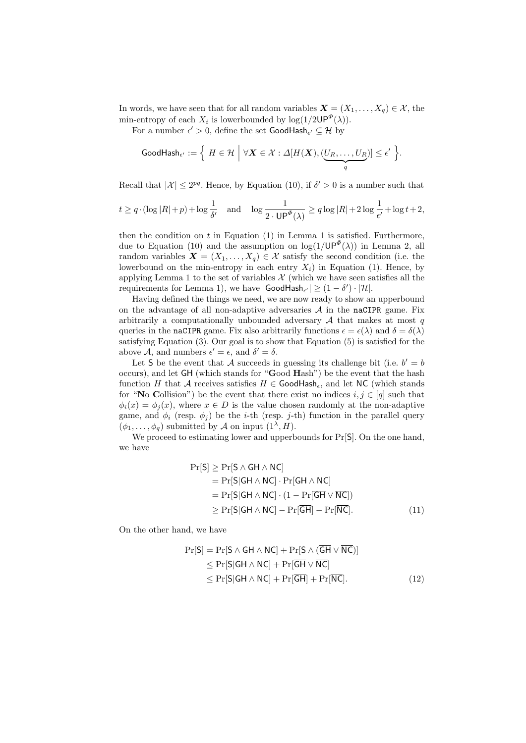In words, we have seen that for all random variables  $\mathbf{X} = (X_1, \ldots, X_q) \in \mathcal{X}$ , the min-entropy of each  $X_i$  is lowerbounded by  $\log(1/2\mathsf{UP}^{\Phi}(\lambda)).$ 

For a number  $\epsilon' > 0$ , define the set  $\mathsf{GoodHash}_{\epsilon'} \subseteq \mathcal{H}$  by

$$
\textsf{GoodHash}_{\epsilon'}:=\Big\{\hspace{0.1cm} H\in \mathcal{H} \hspace{0.1cm}\Big|\hspace{0.1cm} \forall \textbf{\textit{X}}\in \mathcal{X}: \Delta[H(\textbf{\textit{X}}),(\underbrace{U_R,\ldots,U_R}_{q})]\leq \epsilon' \hspace{0.1cm}\Big\}.
$$

Recall that  $|\mathcal{X}| \leq 2^{pq}$ . Hence, by Equation (10), if  $\delta' > 0$  is a number such that

$$
t \ge q \cdot (\log |R| + p) + \log \frac{1}{\delta'} \quad \text{and} \quad \log \frac{1}{2 \cdot \mathsf{UP}^{\Phi}(\lambda)} \ge q \log |R| + 2 \log \frac{1}{\epsilon'} + \log t + 2,
$$

then the condition on *t* in Equation (1) in Lemma 1 is satisfied. Furthermore, due to Equation (10) and the assumption on  $\log(1/\text{UP}^{\Phi}(\lambda))$  in Lemma 2, all random variables  $\mathbf{X} = (X_1, \ldots, X_q) \in \mathcal{X}$  satisfy the second condition (i.e. the lowerbound on the min-entropy in each entry  $X_i$ ) in Equation (1). Hence, by applying Lemma 1 to the set of variables  $X$  (which we have seen satisfies all the requirements for Lemma 1), we have  $|\mathsf{GoodHash}_{\epsilon'}| \geq (1 - \delta') \cdot |\mathcal{H}|.$ 

Having defined the things we need, we are now ready to show an upperbound on the advantage of all non-adaptive adversaries *A* in the naCIPR game. Fix arbitrarily a computationally unbounded adversary *A* that makes at most *q* queries in the naCIPR game. Fix also arbitrarily functions  $\epsilon = \epsilon(\lambda)$  and  $\delta = \delta(\lambda)$ satisfying Equation (3). Our goal is to show that Equation (5) is satisfied for the above *A*, and numbers  $\epsilon' = \epsilon$ , and  $\delta' = \delta$ .

Let S be the event that A succeeds in guessing its challenge bit (i.e.  $b' = b$ occurs), and let GH (which stands for "**G**ood **H**ash") be the event that the hash function *H* that *A* receives satisfies  $H \in \mathsf{GoodHash}_{\epsilon}$ , and let NC (which stands for "**N**o **C**ollision") be the event that there exist no indices  $i, j \in [q]$  such that  $\phi_i(x) = \phi_i(x)$ , where  $x \in D$  is the value chosen randomly at the non-adaptive game, and  $\phi_i$  (resp.  $\phi_j$ ) be the *i*-th (resp. *j*-th) function in the parallel query  $(\phi_1, \ldots, \phi_q)$  submitted by *A* on input  $(1^{\lambda}, H)$ .

We proceed to estimating lower and upperbounds for  $Pr[S]$ . On the one hand, we have

$$
Pr[S] \geq Pr[S \land GH \land NC]
$$
  
= Pr[S|GH \land NC] \cdot Pr[GH \land NC]  
= Pr[S|GH \land NC] \cdot (1 - Pr[\overline{GH} \lor \overline{NC}])  
\geq Pr[S|GH \land NC] - Pr[\overline{GH}] - Pr[\overline{NC}]. \tag{11}

On the other hand, we have

$$
Pr[S] = Pr[S \land GH \land NC] + Pr[S \land (\overline{GH} \lor \overline{NC})]
$$
  
\n
$$
\leq Pr[S|GH \land NC] + Pr[\overline{GH} \lor \overline{NC}]
$$
  
\n
$$
\leq Pr[S|GH \land NC] + Pr[\overline{GH}] + Pr[\overline{NC}].
$$
\n(12)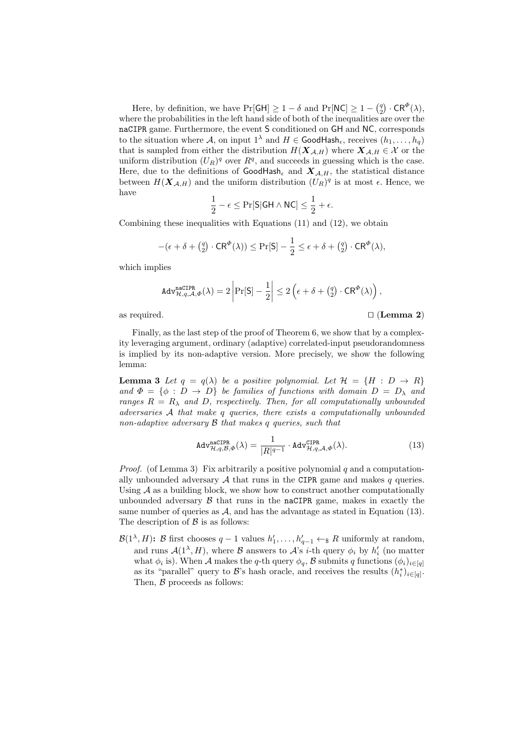Here, by definition, we have  $Pr[GH] \ge 1 - \delta$  and  $Pr[NC] \ge 1 - {q \choose 2} \cdot CR^{\Phi}(\lambda)$ , where the probabilities in the left hand side of both of the inequalities are over the naCIPR game. Furthermore, the event S conditioned on GH and NC, corresponds to the situation where *A*, on input  $1^{\lambda}$  and  $H \in \text{GoodHash}_{\epsilon}$ , receives  $(h_1, \ldots, h_q)$ that is sampled from either the distribution  $H(\mathbf{X}_{\mathcal{A},H})$  where  $\mathbf{X}_{\mathcal{A},H} \in \mathcal{X}$  or the uniform distribution  $(U_R)^q$  over  $R^q$ , and succeeds in guessing which is the case. Here, due to the definitions of  $GoodHash_{\epsilon}$  and  $\mathbf{X}_{\mathcal{A},H}$ , the statistical distance between  $H(\mathbf{X}_{\mathcal{A},H})$  and the uniform distribution  $(U_R)^q$  is at most  $\epsilon$ . Hence, we have

$$
\frac{1}{2} - \epsilon \le \Pr[\mathsf{S}|\mathsf{GH} \wedge \mathsf{NC}] \le \frac{1}{2} + \epsilon.
$$

Combining these inequalities with Equations (11) and (12), we obtain

$$
-(\epsilon + \delta + {q \choose 2} \cdot \mathsf{CR}^{\mathbf{\Phi}}(\lambda)) \le \Pr[\mathsf{S}] - \frac{1}{2} \le \epsilon + \delta + {q \choose 2} \cdot \mathsf{CR}^{\mathbf{\Phi}}(\lambda),
$$

which implies

$$
\mathsf{Adv}_{\mathcal{H},q,\mathcal{A},\varPhi}^{\mathtt{naCIPR}}(\lambda) = 2 \left|\Pr[\mathsf{S}] - \frac{1}{2}\right| \leq 2\left(\epsilon + \delta + \tbinom{q}{2}\cdot \mathsf{CR}^\varPhi(\lambda)\right),
$$

as required. *⊓⊔* (**Lemma 2**)

Finally, as the last step of the proof of Theorem 6, we show that by a complexity leveraging argument, ordinary (adaptive) correlated-input pseudorandomness is implied by its non-adaptive version. More precisely, we show the following lemma:

**Lemma 3** Let  $q = q(\lambda)$  be a positive polynomial. Let  $\mathcal{H} = \{H : D \to R\}$ *and*  $\Phi = {\phi : D \rightarrow D}$  *be families of functions with domain*  $D = D_{\lambda}$  *and ranges*  $R = R_{\lambda}$  *and D*, *respectively. Then, for all computationally unbounded adversaries A that make q queries, there exists a computationally unbounded non-adaptive adversary B that makes q queries, such that*

$$
\text{Adv}_{\mathcal{H},q,\mathcal{B},\varPhi}^{\texttt{naCIPR}}(\lambda) = \frac{1}{|R|^{q-1}} \cdot \texttt{Adv}_{\mathcal{H},q,\mathcal{A},\varPhi}^{\texttt{CIPR}}(\lambda). \tag{13}
$$

*Proof.* (of Lemma 3) Fix arbitrarily a positive polynomial *q* and a computationally unbounded adversary  $A$  that runs in the CIPR game and makes  $q$  queries. Using A as a building block, we show how to construct another computationally unbounded adversary  $\beta$  that runs in the naCIPR game, makes in exactly the same number of queries as  $A$ , and has the advantage as stated in Equation  $(13)$ . The description of  $\beta$  is as follows:

 $B(1^{\lambda}, H)$ : *B* first chooses *q* − 1 values  $h'_{1}, \ldots, h'_{q-1} \leftarrow_{\$} R$  uniformly at random, and runs  $\mathcal{A}(1^{\lambda}, H)$ , where  $\mathcal{B}$  answers to  $\mathcal{A}$ 's *i*-th query  $\phi_i$  by  $h'_i$  (no matter what  $\phi_i$  is). When *A* makes the *q*-th query  $\phi_q$ , *B* submits *q* functions  $(\phi_i)_{i \in [q]}$ as its "parallel" query to *B*'s hash oracle, and receives the results  $(h_i^*)_{i \in [q]}$ . Then,  $\beta$  proceeds as follows: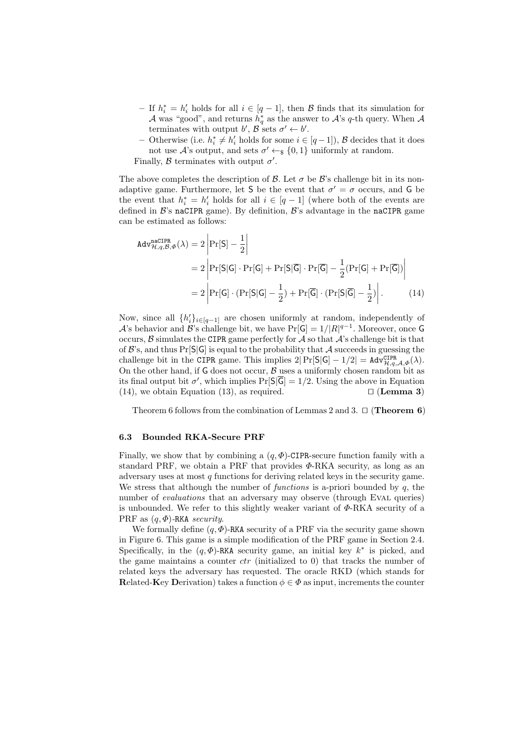- **−** If  $h_i^* = h_i'$  holds for all  $i \in [q-1]$ , then *B* finds that its simulation for *A* was "good", and returns  $h_q^*$  as the answer to *A*'s *q*-th query. When *A* terminates with output  $b'$ ,  $\beta$  sets  $\sigma' \leftarrow b'$ .
- **−** Otherwise (i.e.  $h_i^* \neq h_i'$  holds for some  $i \in [q-1]$ ), *B* decides that it does not use  $\mathcal{A}$ 's output, and sets  $\sigma' \leftarrow_{\$} \{0,1\}$  uniformly at random.

Finally,  $\beta$  terminates with output  $\sigma'$ .

The above completes the description of *B*. Let  $\sigma$  be *B*'s challenge bit in its nonadaptive game. Furthermore, let S be the event that  $\sigma' = \sigma$  occurs, and G be the event that  $h_i^* = h'_i$  holds for all  $i \in [q-1]$  (where both of the events are defined in  $\mathcal{B}$ 's naCIPR game). By definition,  $\mathcal{B}$ 's advantage in the naCIPR game can be estimated as follows:

$$
Adv_{\mathcal{H},q,\mathcal{B},\Phi}^{\text{naCIPR}}(\lambda) = 2 \left| \Pr[S] - \frac{1}{2} \right|
$$
  
= 2 \left| \Pr[S|G] \cdot \Pr[G] + \Pr[S|\overline{G}] \cdot \Pr[\overline{G}] - \frac{1}{2} (\Pr[G] + \Pr[\overline{G}]) \right|   
= 2 \left| \Pr[G] \cdot (\Pr[S|G] - \frac{1}{2}) + \Pr[\overline{G}] \cdot (\Pr[S|\overline{G}] - \frac{1}{2}) \right|. (14)

Now, since all  $\{h'_i\}_{i \in [q-1]}$  are chosen uniformly at random, independently of *A*'s behavior and *B*'s challenge bit, we have  $Pr[G] = 1/|R|^{q-1}$ . Moreover, once G occurs,  $\beta$  simulates the CIPR game perfectly for  $\mathcal A$  so that  $\mathcal A$ 's challenge bit is that of *B*'s, and thus Pr[S*|*G] is equal to the probability that *A* succeeds in guessing the challenge bit in the CIPR game. This implies  $2|Pr[S|G] - 1/2| = \text{Adv}_{\mathcal{H},q,\mathcal{A},\Phi}^{\text{CIPR}}(\lambda)$ . On the other hand, if  $G$  does not occur,  $\beta$  uses a uniformly chosen random bit as its final output bit  $\sigma'$ , which implies  $Pr[S|G] = 1/2$ . Using the above in Equation (14), we obtain Equation (13), as required. *⊓⊔* (**Lemma 3**)

Theorem 6 follows from the combination of Lemmas 2 and 3. *⊓⊔* (**Theorem 6**)

### **6.3 Bounded RKA-Secure PRF**

Finally, we show that by combining a  $(q, \Phi)$ -CIPR-secure function family with a standard PRF, we obtain a PRF that provides *Φ*-RKA security, as long as an adversary uses at most *q* functions for deriving related keys in the security game. We stress that although the number of *functions* is a-priori bounded by *q*, the number of *evaluations* that an adversary may observe (through EVAL queries) is unbounded. We refer to this slightly weaker variant of *Φ*-RKA security of a PRF as (*q, Φ*)*-*RKA *security*.

We formally define  $(q, \Phi)$ -RKA security of a PRF via the security game shown in Figure 6. This game is a simple modification of the PRF game in Section 2.4. Specifically, in the  $(q, \Phi)$ -RKA security game, an initial key  $k^*$  is picked, and the game maintains a counter *ctr* (initialized to 0) that tracks the number of related keys the adversary has requested. The oracle RKD (which stands for **R**elated-**K**ey **D**erivation) takes a function  $\phi \in \Phi$  as input, increments the counter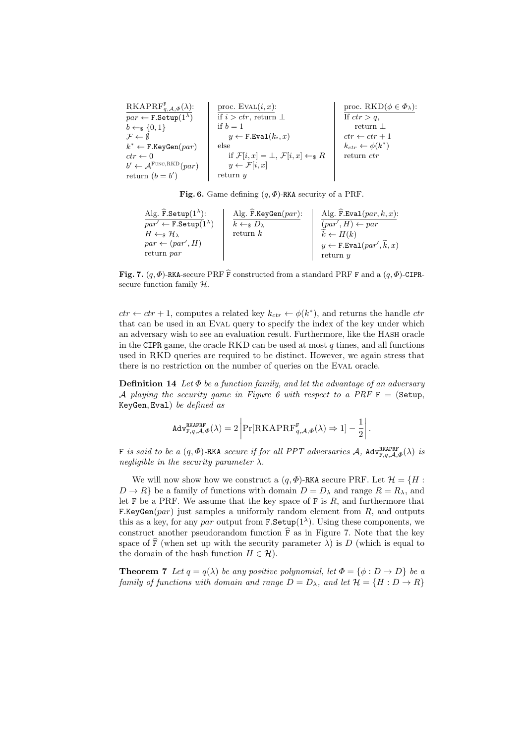| KKAPRF <sup>F</sup> <sub>q,A,\Phi</sub> (\lambda): | proc. EVAL( <i>i</i> , <i>x</i> ): | proc. RKD( $\phi \in \Phi_{\lambda}$ ):              |                                             |                                       |                                                                     |                                                                     |                            |                                    |                                    |                                    |                                    |                                    |                                    |                                    |                                    |                                    |                                    |                                    |                                    |                                    |                                    |                                    |                                    |                                    |                                    |                                              |                                                        |                                                                                                                              |
|----------------------------------------------------|------------------------------------|------------------------------------------------------|---------------------------------------------|---------------------------------------|---------------------------------------------------------------------|---------------------------------------------------------------------|----------------------------|------------------------------------|------------------------------------|------------------------------------|------------------------------------|------------------------------------|------------------------------------|------------------------------------|------------------------------------|------------------------------------|------------------------------------|------------------------------------|------------------------------------|------------------------------------|------------------------------------|------------------------------------|------------------------------------|------------------------------------|------------------------------------|----------------------------------------------|--------------------------------------------------------|------------------------------------------------------------------------------------------------------------------------------|
| $par \leftarrow F.setup(1^{\lambda})$              | if $i > ctr$ , return $\bot$       | If $ctr \rightarrow q$ ,<br>$f \leftarrow \emptyset$ | If $b = 1$<br>$g \leftarrow F.Eval(k_i, x)$ | return $\bot$<br>$ctrur \leftarrow 0$ | $ctr \leftarrow ctr + 1$<br>$l \leftarrow t + \leftarrow \emptyset$ | $ctr \leftarrow ctr + 1$<br>$l \leftarrow t + \leftarrow \emptyset$ | $ctr \leftarrow \emptyset$ | $l \leftarrow \bigarrow \emptyset$ | $l \leftarrow \bigarrow \emptyset$ | $l \leftarrow \bigarrow \emptyset$ | $l \leftarrow \bigarrow \emptyset$ | $l \leftarrow \bigarrow \emptyset$ | $l \leftarrow \bigarrow \emptyset$ | $l \leftarrow \bigarrow \emptyset$ | $l \leftarrow \bigarrow \emptyset$ | $l \leftarrow \bigarrow \emptyset$ | $l \leftarrow \bigarrow \emptyset$ | $l \leftarrow \bigarrow \emptyset$ | $l \leftarrow \bigarrow \emptyset$ | $l \leftarrow \bigarrow \emptyset$ | $l \leftarrow \bigarrow \emptyset$ | $l \leftarrow \bigarrow \emptyset$ | $l \leftarrow \bigarrow \emptyset$ | $l \leftarrow \bigarrow \emptyset$ | $l \leftarrow \bigarrow \emptyset$ | $l \leftarrow \bigarrow \bigarrow \emptyset$ | $l \leftarrow \bigarrow \bigarrow \bigarrow \emptyset$ | $l \leftarrow \bigarrow \bigarrow \bigarrow \bigarrow \bigarrow \bigarrow \bigarrow \bigarrow \bigarrow \bigarrow \bigarrow$ |

**Fig. 6.** Game defining (*q, Φ*)-RKA security of a PRF.

| Alg. $\hat{F}.$ Setup(1 <sup>^</sup> ):     | Alg. $\hat{F}.$ KeyGen(par):               | Alg. $\hat{F}.$ Eval(par, k, x): |
|---------------------------------------------|--------------------------------------------|----------------------------------|
| $par' \leftarrow F.$ Setup(1 <sup>^</sup> ) | $k \leftarrow s D_{\lambda}$               | $par', H) \leftarrow par$        |
| $par \leftarrow (par', H)$                  | return $k$                                 | $\tilde{k} \leftarrow H(k)$      |
| $par \leftarrow (par', H)$                  | $\tilde{k} \leftarrow H(k)$                |                                  |
| $y \leftarrow F.$ Eval(par', \tilde{k}, x)  |                                            |                                  |
| $return par$                                | $y \leftarrow F.$ Eval(par', \tilde{k}, x) |                                  |

**Fig. 7.**  $(q, \Phi)$ -RKA-secure PRF  $\hat{F}$  constructed from a standard PRF F and a  $(q, \Phi)$ -CIPRsecure function family *H*.

 $ctr \leftarrow etr + 1$ , computes a related key  $k_{ctr} \leftarrow \phi(k^*)$ , and returns the handle *ctr* that can be used in an Eval query to specify the index of the key under which an adversary wish to see an evaluation result. Furthermore, like the Hash oracle in the CIPR game, the oracle RKD can be used at most *q* times, and all functions used in RKD queries are required to be distinct. However, we again stress that there is no restriction on the number of queries on the Eval oracle.

**Definition 14** *Let Φ be a function family, and let the advantage of an adversary A playing the security game in Figure 6 with respect to a PRF* F = (Setup*,* KeyGen*,* Eval) *be defined as*

$$
\text{Adv}_{\text{F},q,\mathcal{A},\varPhi}^{\text{RKAPRF}}(\lambda) = 2 \left|\Pr[\text{RKAPRF}_{q,\mathcal{A},\varPhi}^{\text{F}}(\lambda) \Rightarrow 1] - \frac{1}{2}\right|.
$$

F *is said to be a*  $(q, \Phi)$ -RKA *secure if for all PPT adversaries A*,  $\text{Adv}^{\text{RKAPRF}}_{F,q,A,\Phi}(\lambda)$  *is negligible in the security parameter λ.*

We will now show how we construct a  $(q, \Phi)$ -RKA secure PRF. Let  $\mathcal{H} = \{H :$  $D \to R$ <sup>}</sup> be a family of functions with domain  $D = D_{\lambda}$  and range  $R = R_{\lambda}$ , and let F be a PRF. We assume that the key space of F is *R*, and furthermore that F*.*KeyGen(*par*) just samples a uniformly random element from *R*, and outputs this as a key, for any *par* output from  $\mathbf{F}.\mathbf{Setup}(1^{\lambda})$ . Using these components, we construct another pseudorandom function  $\hat{F}$  as in Figure 7. Note that the key space of  $\widehat{F}$  (when set up with the security parameter  $\lambda$ ) is *D* (which is equal to the domain of the hash function  $H \in \mathcal{H}$ ).

**Theorem 7** *Let*  $q = q(\lambda)$  *be any positive polynomial, let*  $\Phi = {\phi : D \to D}$  *be a family of functions with domain and range*  $D = D_{\lambda}$ *, and let*  $\mathcal{H} = \{H : D \to R\}$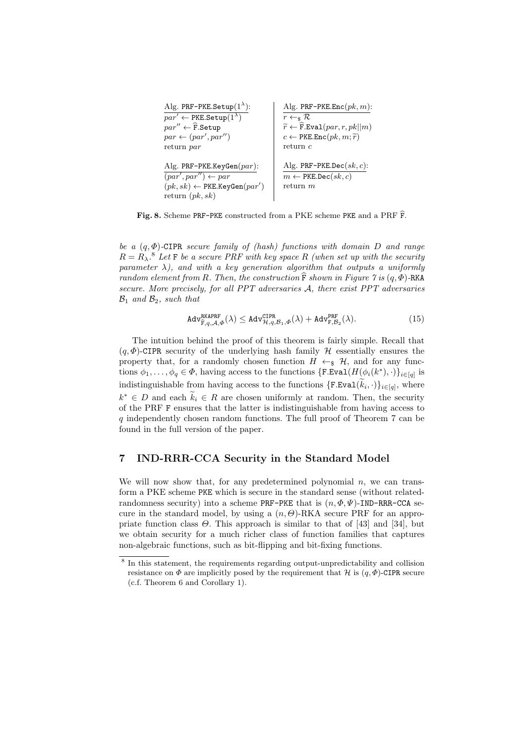| Alg. PRF-PKE.Setup $(1^{\lambda})$ :                                                                                                               | Alg. PRF-PKE.Enc $(pk, m)$ :                                                 |
|----------------------------------------------------------------------------------------------------------------------------------------------------|------------------------------------------------------------------------------|
| $par' \leftarrow \texttt{PKE}.\texttt{Setup}(1^{\lambda})$                                                                                         | $r \leftarrow_* \mathcal{R}$                                                 |
| $par'' \leftarrow \widehat{F}$ . Setup                                                                                                             | $\widetilde{r} \leftarrow \widehat{\mathbf{F}}.\mathtt{Eval}(par, r, pk  m)$ |
| $par \leftarrow (par', par'')$                                                                                                                     | $c \leftarrow$ PKE.Enc $(pk, m; \tilde{r})$                                  |
| return par                                                                                                                                         | return c                                                                     |
| Alg. PRF-PKE.KeyGen $(par)$ :<br>$\left( par', par'' \right) \leftarrow par$<br>$(pk, sk) \leftarrow \text{PKE.KeyGen}(par')$<br>return $(pk, sk)$ | Alg. PRF-PKE.Dec( $sk, c$ ):<br>$m \leftarrow$ PKE.Dec(sk, c)<br>return m    |

**Fig. 8.** Scheme PRF-PKE constructed from a PKE scheme PKE and a PRF  $\hat{F}$ .

*be a* (*q, Φ*)*-*CIPR *secure family of (hash) functions with domain D and range*  $R = R_{\lambda}$ <sup>8</sup> Let **F** be a secure PRF with key space R (when set up with the security *parameter*  $\lambda$ *), and with a key generation algorithm that outputs a uniformly random element from R. Then, the construction*  $\hat{F}$  *shown in Figure 7 is*  $(q, \Phi)$ -RKA *secure. More precisely, for all PPT adversaries A, there exist PPT adversaries B*<sup>1</sup> *and B*2*, such that*

$$
\mathrm{Adv}_{\widehat{\mathbf{F}},q,\mathcal{A},\Phi}^{\mathrm{RKAPRF}}(\lambda) \le \mathrm{Adv}_{\mathcal{H},q,\mathcal{B}_1,\Phi}^{\mathrm{CIPR}}(\lambda) + \mathrm{Adv}_{\mathbf{F},\mathcal{B}_2}^{\mathrm{PRF}}(\lambda). \tag{15}
$$

The intuition behind the proof of this theorem is fairly simple. Recall that (*q, Φ*)-CIPR security of the underlying hash family *H* essentially ensures the property that, for a randomly chosen function  $H \leftarrow$  *H*, and for any functions  $\phi_1, \ldots, \phi_q \in \Phi$ , having access to the functions  $\{ \texttt{F.Eval}(H(\phi_i(k^*), \cdot) \}_{i \in [q]}$  is indistinguishable from having access to the functions  $\{F.Eva1(k_i, \cdot)\}_{i \in [q]},$  where  $k^* \in D$  and each  $k_i \in R$  are chosen uniformly at random. Then, the security of the PRF F ensures that the latter is indistinguishable from having access to *q* independently chosen random functions. The full proof of Theorem 7 can be found in the full version of the paper.

### **7 IND-RRR-CCA Security in the Standard Model**

We will now show that, for any predetermined polynomial  $n$ , we can transform a PKE scheme PKE which is secure in the standard sense (without relatedrandomness security) into a scheme PRF-PKE that is (*n, Φ, Ψ*)-IND-RRR-CCA secure in the standard model, by using a  $(n, \Theta)$ -RKA secure PRF for an appropriate function class  $\Theta$ . This approach is similar to that of [43] and [34], but we obtain security for a much richer class of function families that captures non-algebraic functions, such as bit-flipping and bit-fixing functions.

<sup>&</sup>lt;sup>8</sup> In this statement, the requirements regarding output-unpredictability and collision resistance on  $\Phi$  are implicitly posed by the requirement that  $\mathcal H$  is  $(q, \Phi)$ -CIPR secure (c.f. Theorem 6 and Corollary 1).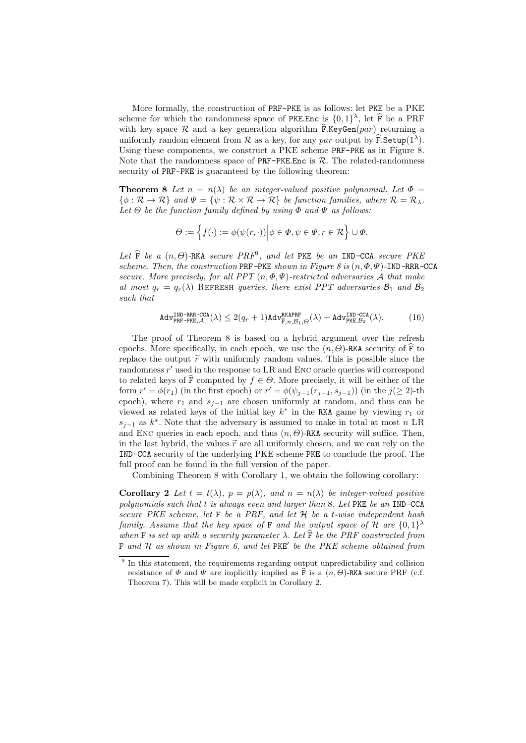More formally, the construction of PRF-PKE is as follows: let PKE be a PKE scheme for which the randomness space of PKE.Enc is  $\{0,1\}^{\lambda}$ , let  $\widehat{F}$  be a PRF with key space  $\mathcal R$  and a key generation algorithm  $\widehat{F}$ *.KeyGen(par)* returning a uniformly random element from  $R$  as a key, for any *par* output by  $\widehat{F}$ . Setup(1<sup> $\lambda$ </sup>). Using these components, we construct a PKE scheme PRF-PKE as in Figure 8. Note that the randomness space of PRF-PKE*.*Enc is *R*. The related-randomness security of PRF-PKE is guaranteed by the following theorem:

**Theorem 8** *Let*  $n = n(\lambda)$  *be an integer-valued positive polynomial. Let*  $\Phi =$  $\{\phi : \mathcal{R} \to \mathcal{R}\}\$ and  $\Psi = \{\psi : \mathcal{R} \times \mathcal{R} \to \mathcal{R}\}\$ be function families, where  $\mathcal{R} = \mathcal{R}_{\lambda}$ .  $Let \Theta$  *be the function family defined by using*  $\Phi$  *and*  $\Psi$  *as follows:* 

$$
\Theta := \left\{ f(\cdot) := \phi(\psi(r,\cdot)) \middle| \phi \in \Phi, \psi \in \Psi, r \in \mathcal{R} \right\} \cup \Phi.
$$

*Let*  $\widehat{F}$  *be a* (*n, Θ*) $-RKA$  *secure PRF*<sup>9</sup>, and let PKE *be an* IND-CCA *secure PKE scheme. Then, the construction* PRF*-*PKE *shown in Figure 8 is* (*n, Φ, Ψ*)*-*IND*-*RRR*-*CCA *secure. More precisely, for all PPT* (*n, Φ, Ψ*)*-restricted adversaries A that make at most*  $q_r = q_r(\lambda)$  REFRESH *queries, there exist PPT adversaries*  $\mathcal{B}_1$  *and*  $\mathcal{B}_2$ *such that*

$$
\mathrm{Adv}_{\mathrm{PRF-PKE},\mathcal{A}}^{\mathrm{IND-RRR-CCA}}(\lambda) \le 2(q_r+1)\mathrm{Adv}_{\widehat{\mathrm{F}},n,\mathcal{B}_1,\Theta}^{\mathrm{RKAPRF}}(\lambda) + \mathrm{Adv}_{\mathrm{PKE},\mathcal{B}_2}^{\mathrm{IND-CCA}}(\lambda). \tag{16}
$$

The proof of Theorem 8 is based on a hybrid argument over the refresh epochs. More specifically, in each epoch, we use the  $(n, \Theta)$ -RKA security of F to replace the output  $\tilde{r}$  with uniformly random values. This is possible since the randomness  $r'$  used in the response to LR and ENC oracle queries will correspond to related keys of  $\widehat{F}$  computed by  $f \in \Theta$ . More precisely, it will be either of the form  $r' = \phi(r_1)$  (in the first epoch) or  $r' = \phi(\psi_{j-1}(r_{j-1}, s_{j-1}))$  (in the  $j(\geq 2)$ -th epoch), where  $r_1$  and  $s_{i-1}$  are chosen uniformly at random, and thus can be viewed as related keys of the initial key *k ∗* in the RKA game by viewing *r*<sup>1</sup> or  $s_{j-1}$  as  $k^*$ . Note that the adversary is assumed to make in total at most *n* LR and ENC queries in each epoch, and thus  $(n, \Theta)$ -RKA security will suffice. Then, in the last hybrid, the values  $\tilde{r}$  are all uniformly chosen, and we can rely on the IND-CCA security of the underlying PKE scheme PKE to conclude the proof. The full proof can be found in the full version of the paper.

Combining Theorem 8 with Corollary 1, we obtain the following corollary:

**Corollary 2** Let  $t = t(\lambda)$ ,  $p = p(\lambda)$ , and  $n = n(\lambda)$  be integer-valued positive *polynomials such that t is always even and larger than* 8*. Let* PKE *be an* IND*-*CCA *secure PKE scheme, let* F *be a PRF, and let H be a t-wise independent hash family. Assume that the key space of* **F** *and the output space of*  $\mathcal{H}$  *are*  $\{0,1\}^{\lambda}$ *when* **F** *is set up with a security parameter*  $\lambda$ *. Let*  $\hat{F}$  *be the PRF constructed from* F *and H as shown in Figure 6, and let* PKE*′ be the PKE scheme obtained from*

<sup>&</sup>lt;sup>9</sup> In this statement, the requirements regarding output unpredictability and collision resistance of  $\Phi$  and  $\Psi$  are implicitly implied as  $\widehat{F}$  is a  $(n, \Theta)$ -RKA secure PRF (c.f. Theorem 7). This will be made explicit in Corollary 2.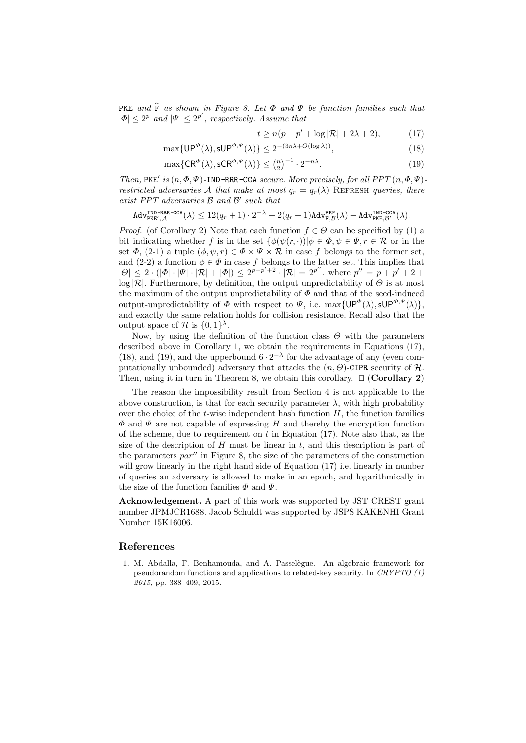PKE and  $\hat{F}$  as shown in Figure 8. Let  $\Phi$  and  $\Psi$  be function families such that  $|\Phi| \leq 2^p$  *and*  $|\Psi| \leq 2^{p'}$ , *respectively. Assume that* 

$$
t \ge n(p + p' + \log |\mathcal{R}| + 2\lambda + 2),\tag{17}
$$

$$
\max\{\mathsf{UP}^{\varPhi}(\lambda), \mathsf{sUP}^{\varPhi,\varPsi}(\lambda)\} \le 2^{-(3n\lambda + O(\log \lambda))},\tag{18}
$$

$$
\max\{CR^{\Phi}(\lambda), sCR^{\Phi,\Psi}(\lambda)\} \leq {n \choose 2}^{-1} \cdot 2^{-n\lambda}.
$$
 (19)

*Then,* PKE<sup> $\prime$ </sup> is  $(n, \Phi, \Psi)$ -IND-RRR-CCA *secure. More precisely, for all PPT*  $(n, \Phi, \Psi)$ *restricted adversaries* A *that make at most*  $q_r = q_r(\lambda)$  REFRESH *queries, there exist PPT adversaries B and B ′ such that*

$$
\mathrm{Adv}_{\mathrm{PKE}',\mathcal{A}}^{\mathrm{IND-RRR-CCA}}(\lambda) \le 12(q_r+1)\cdot 2^{-\lambda} + 2(q_r+1)\mathrm{Adv}_{\mathrm{F},\mathcal{B}}^{\mathrm{PRF}}(\lambda) + \mathrm{Adv}_{\mathrm{PKE},\mathcal{B}'}^{\mathrm{IND-CCA}}(\lambda).
$$

*Proof.* (of Corollary 2) Note that each function  $f \in \Theta$  can be specified by (1) a bit indicating whether *f* is in the set  $\{\phi(\psi(r, \cdot)) | \phi \in \Phi, \psi \in \Psi, r \in \mathcal{R} \text{ or in the } \mathcal{L}\}$ set  $\Phi$ , (2-1) a tuple  $(\phi, \psi, r) \in \Phi \times \Psi \times \mathcal{R}$  in case f belongs to the former set, and (2-2) a function  $\phi \in \Phi$  in case f belongs to the latter set. This implies that  $|\Theta| \leq 2 \cdot (|\Phi| \cdot |\Psi| \cdot |\mathcal{R}| + |\Phi|) \leq 2^{p+p'+2} \cdot |\mathcal{R}| = 2^{p''}$ , where  $p'' = p + p' + 2 + \Phi$ log  $|\mathcal{R}|$ . Furthermore, by definition, the output unpredictability of  $\Theta$  is at most the maximum of the output unpredictability of *Φ* and that of the seed-induced output-unpredictability of  $\Phi$  with respect to  $\Psi$ , i.e. max $\{UP^{\Phi}(\lambda),SUP^{\Phi,\Psi}(\lambda)\},$ and exactly the same relation holds for collision resistance. Recall also that the output space of  $\mathcal{H}$  is  $\{0,1\}^{\lambda}$ .

Now, by using the definition of the function class *Θ* with the parameters described above in Corollary 1, we obtain the requirements in Equations (17), (18), and (19), and the upperbound  $6 \cdot 2^{-\lambda}$  for the advantage of any (even computationally unbounded) adversary that attacks the  $(n, \Theta)$ -CIPR security of  $H$ . Then, using it in turn in Theorem 8, we obtain this corollary. *⊓⊔* (**Corollary 2**)

The reason the impossibility result from Section 4 is not applicable to the above construction, is that for each security parameter  $\lambda$ , with high probability over the choice of the *t*-wise independent hash function *H*, the function families *Φ* and *Ψ* are not capable of expressing *H* and thereby the encryption function of the scheme, due to requirement on *t* in Equation (17). Note also that, as the size of the description of *H* must be linear in *t*, and this description is part of the parameters *par′′* in Figure 8, the size of the parameters of the construction will grow linearly in the right hand side of Equation  $(17)$  i.e. linearly in number of queries an adversary is allowed to make in an epoch, and logarithmically in the size of the function families *Φ* and *Ψ*.

**Acknowledgement.** A part of this work was supported by JST CREST grant number JPMJCR1688. Jacob Schuldt was supported by JSPS KAKENHI Grant Number 15K16006.

### **References**

1. M. Abdalla, F. Benhamouda, and A. Passelègue. An algebraic framework for pseudorandom functions and applications to related-key security. In *CRYPTO (1) 2015*, pp. 388–409, 2015.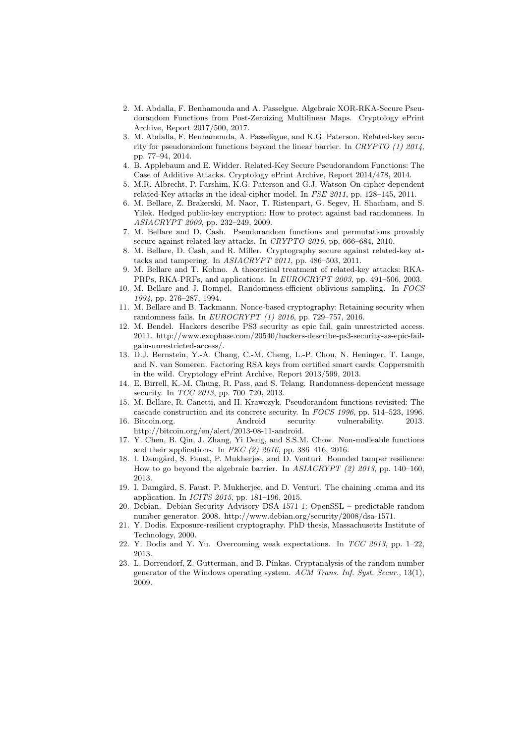- 2. M. Abdalla, F. Benhamouda and A. Passelgue. Algebraic XOR-RKA-Secure Pseudorandom Functions from Post-Zeroizing Multilinear Maps. Cryptology ePrint Archive, Report 2017/500, 2017.
- 3. M. Abdalla, F. Benhamouda, A. Passelègue, and K.G. Paterson. Related-key security for pseudorandom functions beyond the linear barrier. In *CRYPTO (1) 2014*, pp. 77–94, 2014.
- 4. B. Applebaum and E. Widder. Related-Key Secure Pseudorandom Functions: The Case of Additive Attacks. Cryptology ePrint Archive, Report 2014/478, 2014.
- 5. M.R. Albrecht, P. Farshim, K.G. Paterson and G.J. Watson On cipher-dependent related-Key attacks in the ideal-cipher model. In *FSE 2011*, pp. 128–145, 2011.
- 6. M. Bellare, Z. Brakerski, M. Naor, T. Ristenpart, G. Segev, H. Shacham, and S. Yilek. Hedged public-key encryption: How to protect against bad randomness. In *ASIACRYPT 2009*, pp. 232–249, 2009.
- 7. M. Bellare and D. Cash. Pseudorandom functions and permutations provably secure against related-key attacks. In *CRYPTO 2010*, pp. 666–684, 2010.
- 8. M. Bellare, D. Cash, and R. Miller. Cryptography secure against related-key attacks and tampering. In *ASIACRYPT 2011*, pp. 486–503, 2011.
- 9. M. Bellare and T. Kohno. A theoretical treatment of related-key attacks: RKA-PRPs, RKA-PRFs, and applications. In *EUROCRYPT 2003*, pp. 491–506, 2003.
- 10. M. Bellare and J. Rompel. Randomness-efficient oblivious sampling. In *FOCS 1994*, pp. 276–287, 1994.
- 11. M. Bellare and B. Tackmann. Nonce-based cryptography: Retaining security when randomness fails. In *EUROCRYPT (1) 2016*, pp. 729–757, 2016.
- 12. M. Bendel. Hackers describe PS3 security as epic fail, gain unrestricted access. 2011. http://www.exophase.com/20540/hackers-describe-ps3-security-as-epic-failgain-unrestricted-access/.
- 13. D.J. Bernstein, Y.-A. Chang, C.-M. Cheng, L.-P. Chou, N. Heninger, T. Lange, and N. van Someren. Factoring RSA keys from certified smart cards: Coppersmith in the wild. Cryptology ePrint Archive, Report 2013/599, 2013.
- 14. E. Birrell, K.-M. Chung, R. Pass, and S. Telang. Randomness-dependent message security. In *TCC 2013*, pp. 700–720, 2013.
- 15. M. Bellare, R. Canetti, and H. Krawczyk. Pseudorandom functions revisited: The cascade construction and its concrete security. In *FOCS 1996*, pp. 514–523, 1996.
- 16. Bitcoin.org. Android security vulnerability. 2013. http://bitcoin.org/en/alert/2013-08-11-android.
- 17. Y. Chen, B. Qin, J. Zhang, Yi Deng, and S.S.M. Chow. Non-malleable functions and their applications. In *PKC (2) 2016*, pp. 386–416, 2016.
- 18. I. Damgård, S. Faust, P. Mukherjee, and D. Venturi. Bounded tamper resilience: How to go beyond the algebraic barrier. In *ASIACRYPT (2) 2013*, pp. 140–160, 2013.
- 19. I. Damgård, S. Faust, P. Mukherjee, and D. Venturi. The chaining .emma and its application. In *ICITS 2015*, pp. 181–196, 2015.
- 20. Debian. Debian Security Advisory DSA-1571-1: OpenSSL predictable random number generator. 2008. http://www.debian.org/security/2008/dsa-1571.
- 21. Y. Dodis. Exposure-resilient cryptography. PhD thesis, Massachusetts Institute of Technology, 2000.
- 22. Y. Dodis and Y. Yu. Overcoming weak expectations. In *TCC 2013*, pp. 1–22, 2013.
- 23. L. Dorrendorf, Z. Gutterman, and B. Pinkas. Cryptanalysis of the random number generator of the Windows operating system. *ACM Trans. Inf. Syst. Secur.*, 13(1), 2009.